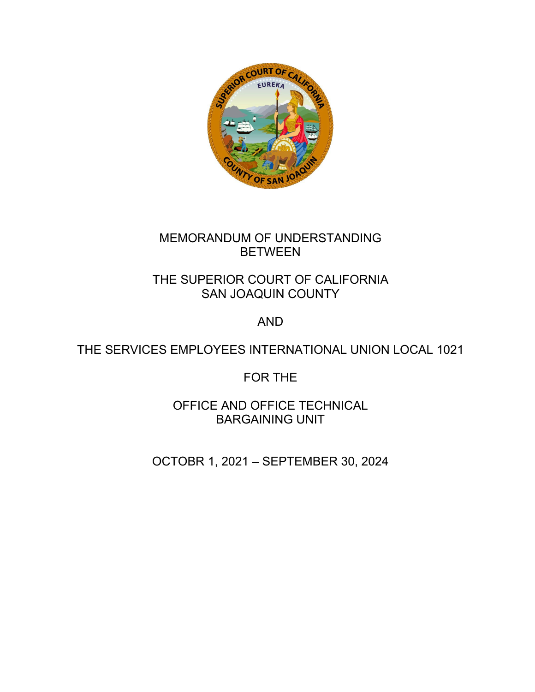

# MEMORANDUM OF UNDERSTANDING BETWEEN

# THE SUPERIOR COURT OF CALIFORNIA SAN JOAQUIN COUNTY

# AND

# THE SERVICES EMPLOYEES INTERNATIONAL UNION LOCAL 1021

# FOR THE

OFFICE AND OFFICE TECHNICAL BARGAINING UNIT

OCTOBR 1, 2021 – SEPTEMBER 30, 2024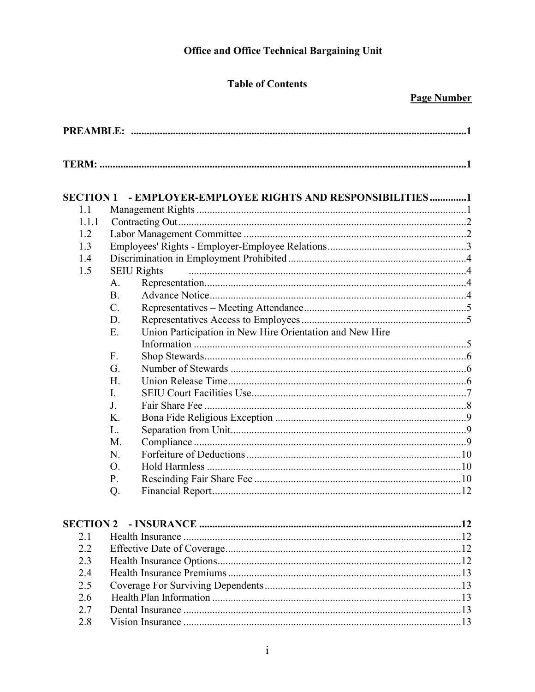# **Office and Office Technical Bargaining Unit**

# **Table of Contents**

# **Page Number**

| - EMPLOYER-EMPLOYEE RIGHTS AND RESPONSIBILITIES1<br><b>SECTION 1</b><br>1.1<br>1.1.1<br>1.2<br>1.3<br>1.4<br><b>SEIU Rights</b><br>1.5<br>A.<br><b>B.</b><br>$C$ .<br>D.<br>Union Participation in New Hire Orientation and New Hire<br>E.<br>F.<br>G.<br>H.<br>I.<br>J.<br>K.<br>L.<br>M.<br>N.<br>O.<br>P.<br>Q.<br>2.1<br>2.2<br>2.3<br>2.4<br>2.5 |  |  |  |
|-------------------------------------------------------------------------------------------------------------------------------------------------------------------------------------------------------------------------------------------------------------------------------------------------------------------------------------------------------|--|--|--|
|                                                                                                                                                                                                                                                                                                                                                       |  |  |  |
|                                                                                                                                                                                                                                                                                                                                                       |  |  |  |
|                                                                                                                                                                                                                                                                                                                                                       |  |  |  |
|                                                                                                                                                                                                                                                                                                                                                       |  |  |  |
|                                                                                                                                                                                                                                                                                                                                                       |  |  |  |
|                                                                                                                                                                                                                                                                                                                                                       |  |  |  |
|                                                                                                                                                                                                                                                                                                                                                       |  |  |  |
|                                                                                                                                                                                                                                                                                                                                                       |  |  |  |
|                                                                                                                                                                                                                                                                                                                                                       |  |  |  |
|                                                                                                                                                                                                                                                                                                                                                       |  |  |  |
|                                                                                                                                                                                                                                                                                                                                                       |  |  |  |
|                                                                                                                                                                                                                                                                                                                                                       |  |  |  |
|                                                                                                                                                                                                                                                                                                                                                       |  |  |  |
|                                                                                                                                                                                                                                                                                                                                                       |  |  |  |
|                                                                                                                                                                                                                                                                                                                                                       |  |  |  |
|                                                                                                                                                                                                                                                                                                                                                       |  |  |  |
|                                                                                                                                                                                                                                                                                                                                                       |  |  |  |
|                                                                                                                                                                                                                                                                                                                                                       |  |  |  |
|                                                                                                                                                                                                                                                                                                                                                       |  |  |  |
|                                                                                                                                                                                                                                                                                                                                                       |  |  |  |
|                                                                                                                                                                                                                                                                                                                                                       |  |  |  |
|                                                                                                                                                                                                                                                                                                                                                       |  |  |  |
|                                                                                                                                                                                                                                                                                                                                                       |  |  |  |
|                                                                                                                                                                                                                                                                                                                                                       |  |  |  |
|                                                                                                                                                                                                                                                                                                                                                       |  |  |  |
|                                                                                                                                                                                                                                                                                                                                                       |  |  |  |
|                                                                                                                                                                                                                                                                                                                                                       |  |  |  |
|                                                                                                                                                                                                                                                                                                                                                       |  |  |  |
|                                                                                                                                                                                                                                                                                                                                                       |  |  |  |
|                                                                                                                                                                                                                                                                                                                                                       |  |  |  |
|                                                                                                                                                                                                                                                                                                                                                       |  |  |  |
|                                                                                                                                                                                                                                                                                                                                                       |  |  |  |
|                                                                                                                                                                                                                                                                                                                                                       |  |  |  |
| 2.6                                                                                                                                                                                                                                                                                                                                                   |  |  |  |
| 2.7                                                                                                                                                                                                                                                                                                                                                   |  |  |  |
| 2.8                                                                                                                                                                                                                                                                                                                                                   |  |  |  |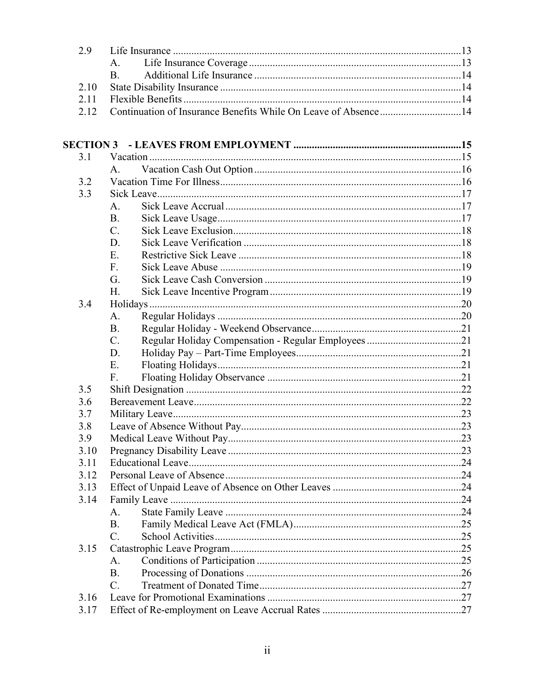| 2.9              |                                                                |  |
|------------------|----------------------------------------------------------------|--|
|                  | A.                                                             |  |
|                  | <b>B.</b>                                                      |  |
| 2.10             |                                                                |  |
| 2.11             |                                                                |  |
| 2.12             | Continuation of Insurance Benefits While On Leave of Absence14 |  |
|                  |                                                                |  |
|                  |                                                                |  |
| <b>SECTION 3</b> |                                                                |  |
| 3.1              |                                                                |  |
|                  | A.                                                             |  |
| 3.2              |                                                                |  |
| 3.3              |                                                                |  |
|                  | A.                                                             |  |
|                  | <b>B.</b>                                                      |  |
|                  | $\overline{C}$ .                                               |  |
|                  | D.                                                             |  |
|                  | E.                                                             |  |
|                  | F.                                                             |  |
|                  | G.                                                             |  |
|                  | H.                                                             |  |
| 3.4              |                                                                |  |
|                  | A.                                                             |  |
|                  | <b>B.</b>                                                      |  |
|                  | $C$ .                                                          |  |
|                  | D.                                                             |  |
|                  | E.                                                             |  |
|                  | F.                                                             |  |
| 3.5              |                                                                |  |
| 3.6              |                                                                |  |
| 3.7              |                                                                |  |
| 3.8              |                                                                |  |
| 3.9              |                                                                |  |
| 3.10             |                                                                |  |
| 3.11             |                                                                |  |
| 3.12             |                                                                |  |
| 3.13             |                                                                |  |
| 3.14             |                                                                |  |
|                  | A.                                                             |  |
|                  | <b>B.</b>                                                      |  |
|                  | $\mathcal{C}$ .                                                |  |
| 3.15             |                                                                |  |
|                  | A.                                                             |  |
|                  | <b>B.</b>                                                      |  |
|                  | $\mathcal{C}$ .                                                |  |
| 3.16             |                                                                |  |
| 3.17             |                                                                |  |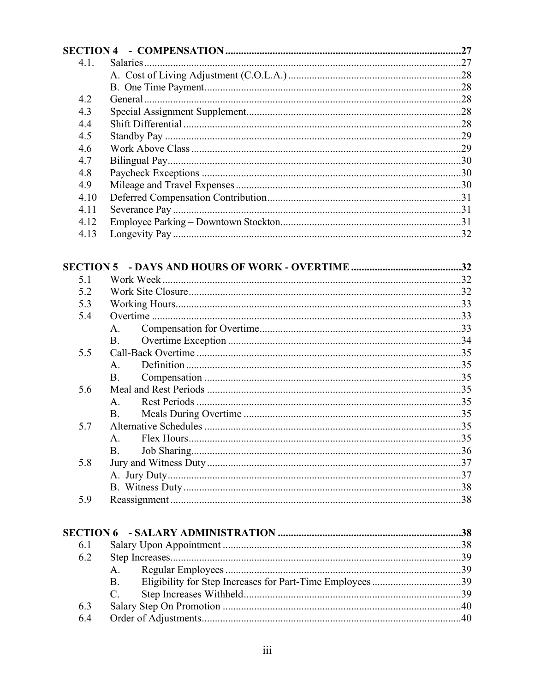| 4.1. |  |
|------|--|
|      |  |
|      |  |
| 4.2  |  |
| 4.3  |  |
| 4.4  |  |
| 4.5  |  |
| 4.6  |  |
| 4.7  |  |
| 4.8  |  |
| 4.9  |  |
| 4.10 |  |
| 4.11 |  |
| 4.12 |  |
| 4.13 |  |
|      |  |

| 5.1 |                |  |
|-----|----------------|--|
| 5.2 |                |  |
| 5.3 |                |  |
| 5.4 |                |  |
|     | $A_{1}$        |  |
|     | B.             |  |
| 5.5 |                |  |
|     | $\mathbf{A}$ . |  |
|     | B.             |  |
| 5.6 |                |  |
|     | $\mathbf{A}$ . |  |
|     | <b>B.</b>      |  |
| 5.7 |                |  |
|     | $A_{\cdot}$    |  |
|     | B.             |  |
| 5.8 |                |  |
|     |                |  |
|     |                |  |
| 5.9 |                |  |
|     |                |  |

| 6.1 |             |  |
|-----|-------------|--|
| 6.2 |             |  |
|     | A.          |  |
|     | <b>B.</b>   |  |
|     | $C_{\cdot}$ |  |
| 6.3 |             |  |
| 6.4 |             |  |
|     |             |  |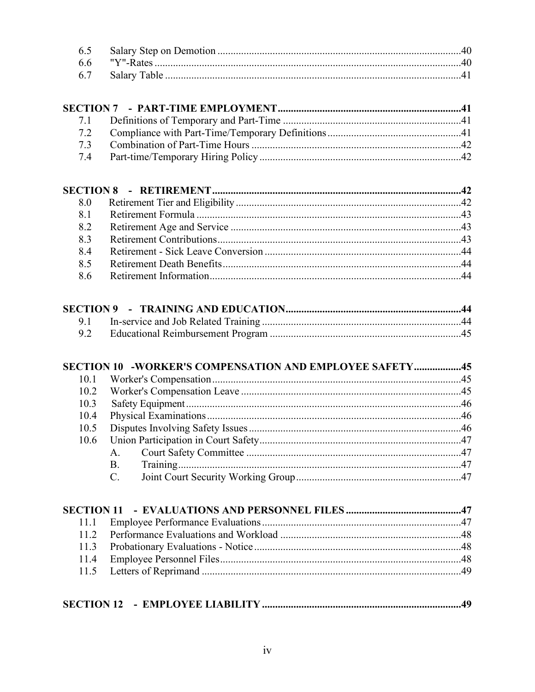| 83 |  |
|----|--|
| 84 |  |
|    |  |
|    |  |

|      | SECTION 10 -WORKER'S COMPENSATION AND EMPLOYEE SAFETY45 |  |
|------|---------------------------------------------------------|--|
| 10.1 |                                                         |  |
| 10.2 |                                                         |  |
| 10.3 |                                                         |  |
| 10.4 |                                                         |  |
| 10.5 |                                                         |  |
| 10.6 |                                                         |  |
|      | A.                                                      |  |
|      | <b>B.</b>                                               |  |
|      | $C_{\cdot}$                                             |  |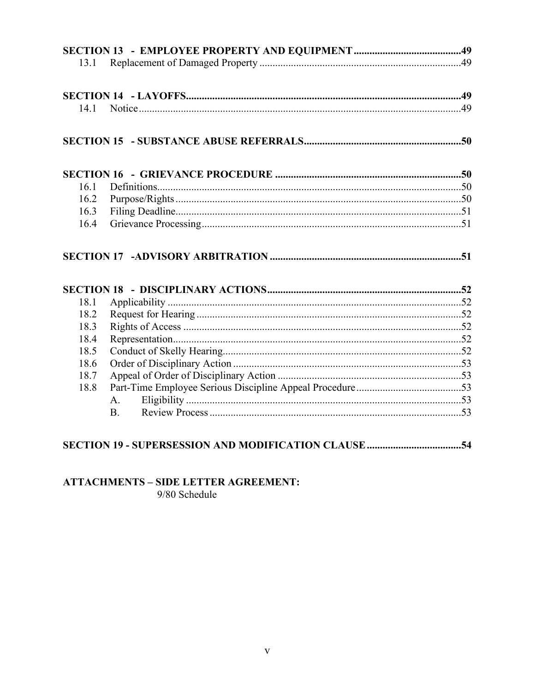| 13.1 |           |  |
|------|-----------|--|
|      |           |  |
|      |           |  |
|      |           |  |
| 14.1 |           |  |
|      |           |  |
|      |           |  |
| 16.1 |           |  |
| 16.2 |           |  |
| 16.3 |           |  |
| 16.4 |           |  |
|      |           |  |
|      |           |  |
|      |           |  |
| 18.1 |           |  |
| 18.2 |           |  |
| 18.3 |           |  |
| 18.4 |           |  |
| 18.5 |           |  |
| 18.6 |           |  |
| 18.7 |           |  |
| 18.8 |           |  |
|      | A.        |  |
|      | <b>B.</b> |  |

# 

# **ATTACHMENTS - SIDE LETTER AGREEMENT:**

9/80 Schedule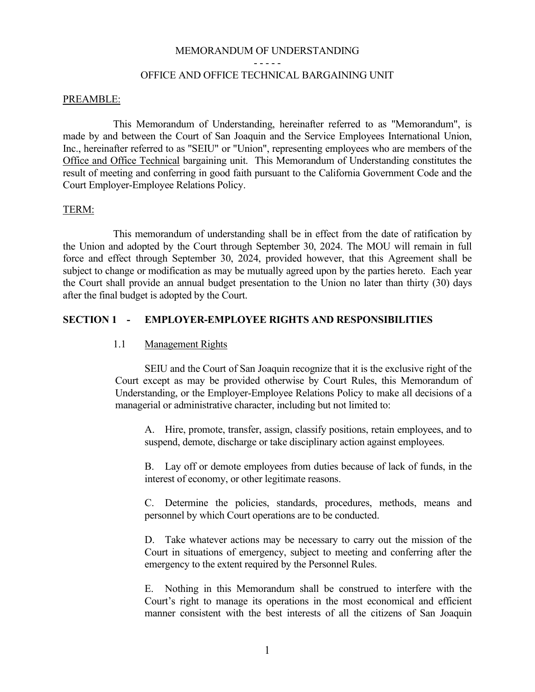#### MEMORANDUM OF UNDERSTANDING

#### - - - - -

# OFFICE AND OFFICE TECHNICAL BARGAINING UNIT

#### <span id="page-6-0"></span>PREAMBLE:

This Memorandum of Understanding, hereinafter referred to as "Memorandum", is made by and between the Court of San Joaquin and the Service Employees International Union, Inc., hereinafter referred to as "SEIU" or "Union", representing employees who are members of the Office and Office Technical bargaining unit. This Memorandum of Understanding constitutes the result of meeting and conferring in good faith pursuant to the California Government Code and the Court Employer-Employee Relations Policy.

#### <span id="page-6-1"></span>TERM:

This memorandum of understanding shall be in effect from the date of ratification by the Union and adopted by the Court through September 30, 2024. The MOU will remain in full force and effect through September 30, 2024, provided however, that this Agreement shall be subject to change or modification as may be mutually agreed upon by the parties hereto. Each year the Court shall provide an annual budget presentation to the Union no later than thirty (30) days after the final budget is adopted by the Court.

# <span id="page-6-2"></span>**SECTION 1 - EMPLOYER-EMPLOYEE RIGHTS AND RESPONSIBILITIES**

# <span id="page-6-3"></span>1.1 Management Rights

SEIU and the Court of San Joaquin recognize that it is the exclusive right of the Court except as may be provided otherwise by Court Rules, this Memorandum of Understanding, or the Employer-Employee Relations Policy to make all decisions of a managerial or administrative character, including but not limited to:

A. Hire, promote, transfer, assign, classify positions, retain employees, and to suspend, demote, discharge or take disciplinary action against employees.

B. Lay off or demote employees from duties because of lack of funds, in the interest of economy, or other legitimate reasons.

C. Determine the policies, standards, procedures, methods, means and personnel by which Court operations are to be conducted.

D. Take whatever actions may be necessary to carry out the mission of the Court in situations of emergency, subject to meeting and conferring after the emergency to the extent required by the Personnel Rules.

E. Nothing in this Memorandum shall be construed to interfere with the Court's right to manage its operations in the most economical and efficient manner consistent with the best interests of all the citizens of San Joaquin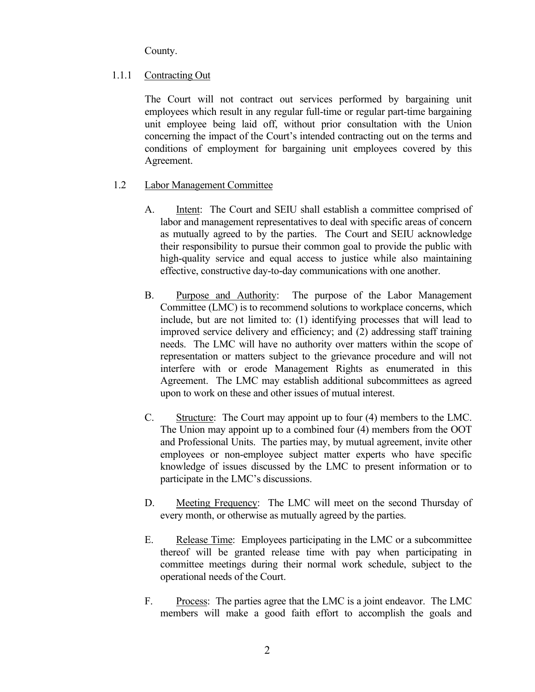County.

# <span id="page-7-0"></span>1.1.1 Contracting Out

The Court will not contract out services performed by bargaining unit employees which result in any regular full-time or regular part-time bargaining unit employee being laid off, without prior consultation with the Union concerning the impact of the Court's intended contracting out on the terms and conditions of employment for bargaining unit employees covered by this Agreement.

# <span id="page-7-1"></span>1.2 Labor Management Committee

- A. Intent: The Court and SEIU shall establish a committee comprised of labor and management representatives to deal with specific areas of concern as mutually agreed to by the parties. The Court and SEIU acknowledge their responsibility to pursue their common goal to provide the public with high-quality service and equal access to justice while also maintaining effective, constructive day-to-day communications with one another.
- B. Purpose and Authority: The purpose of the Labor Management Committee (LMC) is to recommend solutions to workplace concerns, which include, but are not limited to: (1) identifying processes that will lead to improved service delivery and efficiency; and (2) addressing staff training needs. The LMC will have no authority over matters within the scope of representation or matters subject to the grievance procedure and will not interfere with or erode Management Rights as enumerated in this Agreement. The LMC may establish additional subcommittees as agreed upon to work on these and other issues of mutual interest.
- C. Structure: The Court may appoint up to four (4) members to the LMC. The Union may appoint up to a combined four (4) members from the OOT and Professional Units. The parties may, by mutual agreement, invite other employees or non-employee subject matter experts who have specific knowledge of issues discussed by the LMC to present information or to participate in the LMC's discussions.
- D. Meeting Frequency: The LMC will meet on the second Thursday of every month, or otherwise as mutually agreed by the parties.
- E. Release Time: Employees participating in the LMC or a subcommittee thereof will be granted release time with pay when participating in committee meetings during their normal work schedule, subject to the operational needs of the Court.
- F. Process: The parties agree that the LMC is a joint endeavor. The LMC members will make a good faith effort to accomplish the goals and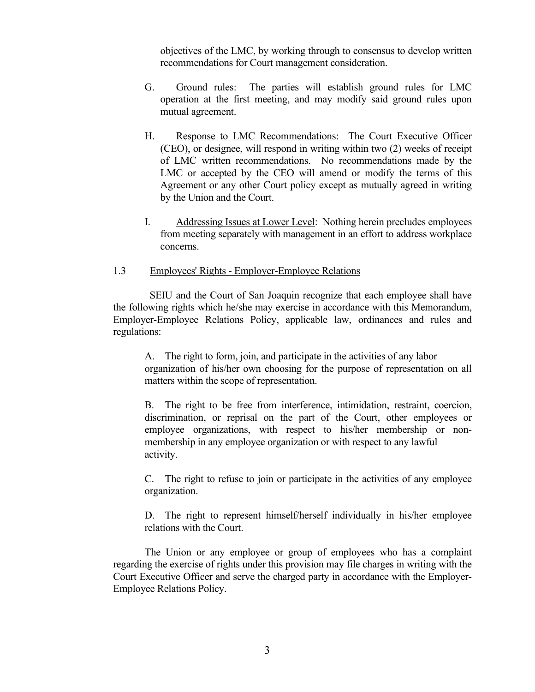objectives of the LMC, by working through to consensus to develop written recommendations for Court management consideration.

- G. Ground rules: The parties will establish ground rules for LMC operation at the first meeting, and may modify said ground rules upon mutual agreement.
- H. Response to LMC Recommendations: The Court Executive Officer (CEO), or designee, will respond in writing within two (2) weeks of receipt of LMC written recommendations. No recommendations made by the LMC or accepted by the CEO will amend or modify the terms of this Agreement or any other Court policy except as mutually agreed in writing by the Union and the Court.
- I. Addressing Issues at Lower Level: Nothing herein precludes employees from meeting separately with management in an effort to address workplace concerns.

# <span id="page-8-0"></span>1.3 Employees' Rights - Employer-Employee Relations

 SEIU and the Court of San Joaquin recognize that each employee shall have the following rights which he/she may exercise in accordance with this Memorandum, Employer-Employee Relations Policy, applicable law, ordinances and rules and regulations:

A. The right to form, join, and participate in the activities of any labor organization of his/her own choosing for the purpose of representation on all matters within the scope of representation.

B. The right to be free from interference, intimidation, restraint, coercion, discrimination, or reprisal on the part of the Court, other employees or employee organizations, with respect to his/her membership or nonmembership in any employee organization or with respect to any lawful activity.

C. The right to refuse to join or participate in the activities of any employee organization.

D. The right to represent himself/herself individually in his/her employee relations with the Court.

The Union or any employee or group of employees who has a complaint regarding the exercise of rights under this provision may file charges in writing with the Court Executive Officer and serve the charged party in accordance with the Employer-Employee Relations Policy.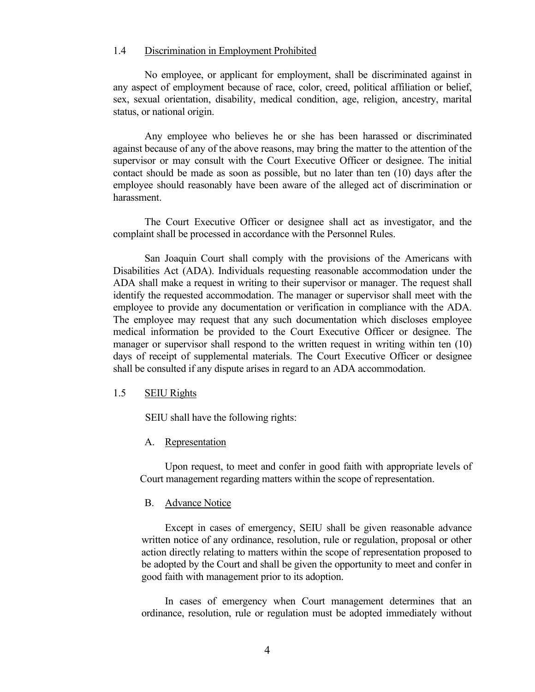#### <span id="page-9-0"></span>1.4 Discrimination in Employment Prohibited

No employee, or applicant for employment, shall be discriminated against in any aspect of employment because of race, color, creed, political affiliation or belief, sex, sexual orientation, disability, medical condition, age, religion, ancestry, marital status, or national origin.

Any employee who believes he or she has been harassed or discriminated against because of any of the above reasons, may bring the matter to the attention of the supervisor or may consult with the Court Executive Officer or designee. The initial contact should be made as soon as possible, but no later than ten (10) days after the employee should reasonably have been aware of the alleged act of discrimination or harassment.

The Court Executive Officer or designee shall act as investigator, and the complaint shall be processed in accordance with the Personnel Rules.

San Joaquin Court shall comply with the provisions of the Americans with Disabilities Act (ADA). Individuals requesting reasonable accommodation under the ADA shall make a request in writing to their supervisor or manager. The request shall identify the requested accommodation. The manager or supervisor shall meet with the employee to provide any documentation or verification in compliance with the ADA. The employee may request that any such documentation which discloses employee medical information be provided to the Court Executive Officer or designee. The manager or supervisor shall respond to the written request in writing within ten (10) days of receipt of supplemental materials. The Court Executive Officer or designee shall be consulted if any dispute arises in regard to an ADA accommodation.

#### <span id="page-9-1"></span>1.5 SEIU Rights

SEIU shall have the following rights:

#### <span id="page-9-2"></span>A. Representation

Upon request, to meet and confer in good faith with appropriate levels of Court management regarding matters within the scope of representation.

#### <span id="page-9-3"></span>B. Advance Notice

Except in cases of emergency, SEIU shall be given reasonable advance written notice of any ordinance, resolution, rule or regulation, proposal or other action directly relating to matters within the scope of representation proposed to be adopted by the Court and shall be given the opportunity to meet and confer in good faith with management prior to its adoption.

In cases of emergency when Court management determines that an ordinance, resolution, rule or regulation must be adopted immediately without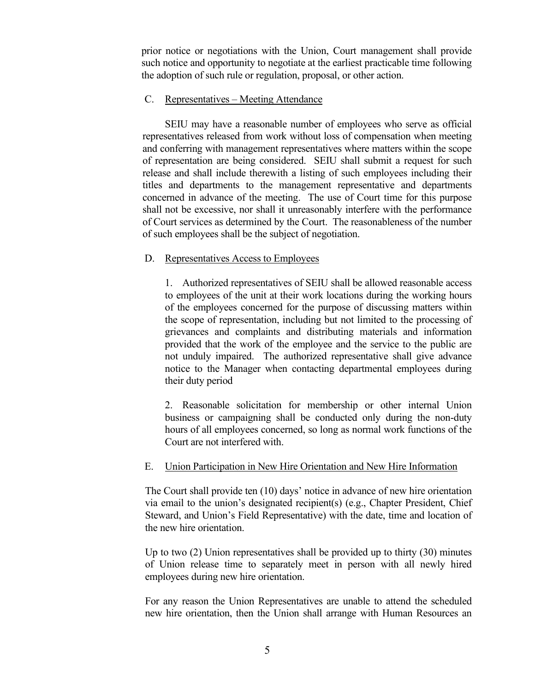prior notice or negotiations with the Union, Court management shall provide such notice and opportunity to negotiate at the earliest practicable time following the adoption of such rule or regulation, proposal, or other action.

# <span id="page-10-0"></span>C. Representatives – Meeting Attendance

 SEIU may have a reasonable number of employees who serve as official representatives released from work without loss of compensation when meeting and conferring with management representatives where matters within the scope of representation are being considered. SEIU shall submit a request for such release and shall include therewith a listing of such employees including their titles and departments to the management representative and departments concerned in advance of the meeting. The use of Court time for this purpose shall not be excessive, nor shall it unreasonably interfere with the performance of Court services as determined by the Court. The reasonableness of the number of such employees shall be the subject of negotiation.

# <span id="page-10-1"></span>D. Representatives Access to Employees

1. Authorized representatives of SEIU shall be allowed reasonable access to employees of the unit at their work locations during the working hours of the employees concerned for the purpose of discussing matters within the scope of representation, including but not limited to the processing of grievances and complaints and distributing materials and information provided that the work of the employee and the service to the public are not unduly impaired. The authorized representative shall give advance notice to the Manager when contacting departmental employees during their duty period

2. Reasonable solicitation for membership or other internal Union business or campaigning shall be conducted only during the non-duty hours of all employees concerned, so long as normal work functions of the Court are not interfered with.

# <span id="page-10-2"></span>E. Union Participation in New Hire Orientation and New Hire Information

The Court shall provide ten (10) days' notice in advance of new hire orientation via email to the union's designated recipient(s) (e.g., Chapter President, Chief Steward, and Union's Field Representative) with the date, time and location of the new hire orientation.

Up to two (2) Union representatives shall be provided up to thirty (30) minutes of Union release time to separately meet in person with all newly hired employees during new hire orientation.

For any reason the Union Representatives are unable to attend the scheduled new hire orientation, then the Union shall arrange with Human Resources an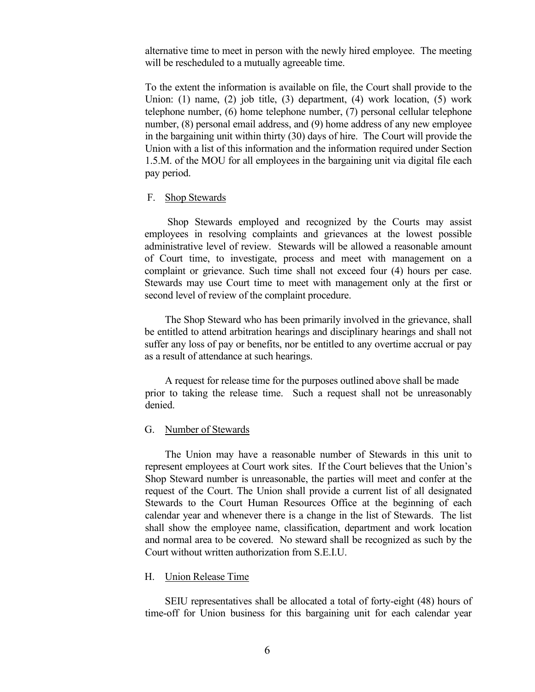alternative time to meet in person with the newly hired employee. The meeting will be rescheduled to a mutually agreeable time.

To the extent the information is available on file, the Court shall provide to the Union: (1) name, (2) job title, (3) department, (4) work location, (5) work telephone number, (6) home telephone number, (7) personal cellular telephone number, (8) personal email address, and (9) home address of any new employee in the bargaining unit within thirty (30) days of hire. The Court will provide the Union with a list of this information and the information required under Section 1.5.M. of the MOU for all employees in the bargaining unit via digital file each pay period.

#### <span id="page-11-0"></span>F. Shop Stewards

Shop Stewards employed and recognized by the Courts may assist employees in resolving complaints and grievances at the lowest possible administrative level of review. Stewards will be allowed a reasonable amount of Court time, to investigate, process and meet with management on a complaint or grievance. Such time shall not exceed four (4) hours per case. Stewards may use Court time to meet with management only at the first or second level of review of the complaint procedure.

The Shop Steward who has been primarily involved in the grievance, shall be entitled to attend arbitration hearings and disciplinary hearings and shall not suffer any loss of pay or benefits, nor be entitled to any overtime accrual or pay as a result of attendance at such hearings.

A request for release time for the purposes outlined above shall be made prior to taking the release time. Such a request shall not be unreasonably denied.

#### <span id="page-11-1"></span>G. Number of Stewards

The Union may have a reasonable number of Stewards in this unit to represent employees at Court work sites. If the Court believes that the Union's Shop Steward number is unreasonable, the parties will meet and confer at the request of the Court. The Union shall provide a current list of all designated Stewards to the Court Human Resources Office at the beginning of each calendar year and whenever there is a change in the list of Stewards. The list shall show the employee name, classification, department and work location and normal area to be covered. No steward shall be recognized as such by the Court without written authorization from S.E.I.U.

#### <span id="page-11-2"></span>H. Union Release Time

SEIU representatives shall be allocated a total of forty-eight (48) hours of time-off for Union business for this bargaining unit for each calendar year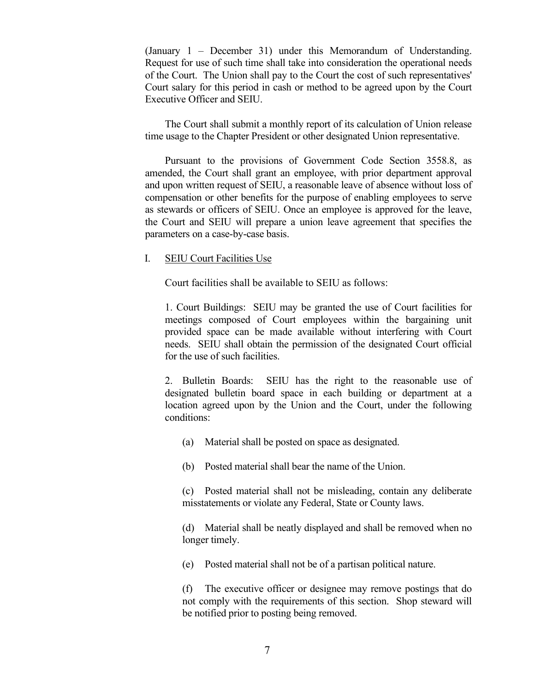(January 1 – December 31) under this Memorandum of Understanding. Request for use of such time shall take into consideration the operational needs of the Court. The Union shall pay to the Court the cost of such representatives' Court salary for this period in cash or method to be agreed upon by the Court Executive Officer and SEIU.

The Court shall submit a monthly report of its calculation of Union release time usage to the Chapter President or other designated Union representative.

 Pursuant to the provisions of Government Code Section 3558.8, as amended, the Court shall grant an employee, with prior department approval and upon written request of SEIU, a reasonable leave of absence without loss of compensation or other benefits for the purpose of enabling employees to serve as stewards or officers of SEIU. Once an employee is approved for the leave, the Court and SEIU will prepare a union leave agreement that specifies the parameters on a case-by-case basis.

#### <span id="page-12-0"></span>I. SEIU Court Facilities Use

Court facilities shall be available to SEIU as follows:

1. Court Buildings: SEIU may be granted the use of Court facilities for meetings composed of Court employees within the bargaining unit provided space can be made available without interfering with Court needs. SEIU shall obtain the permission of the designated Court official for the use of such facilities.

2. Bulletin Boards: SEIU has the right to the reasonable use of designated bulletin board space in each building or department at a location agreed upon by the Union and the Court, under the following conditions:

(a) Material shall be posted on space as designated.

(b) Posted material shall bear the name of the Union.

(c) Posted material shall not be misleading, contain any deliberate misstatements or violate any Federal, State or County laws.

(d) Material shall be neatly displayed and shall be removed when no longer timely.

(e) Posted material shall not be of a partisan political nature.

(f) The executive officer or designee may remove postings that do not comply with the requirements of this section. Shop steward will be notified prior to posting being removed.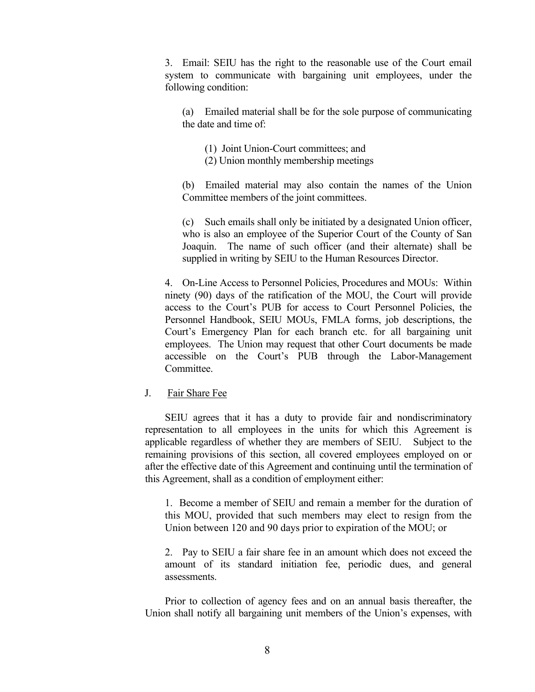3. Email: SEIU has the right to the reasonable use of the Court email system to communicate with bargaining unit employees, under the following condition:

(a) Emailed material shall be for the sole purpose of communicating the date and time of:

- (1) Joint Union-Court committees; and
- (2) Union monthly membership meetings

(b) Emailed material may also contain the names of the Union Committee members of the joint committees.

(c) Such emails shall only be initiated by a designated Union officer, who is also an employee of the Superior Court of the County of San Joaquin. The name of such officer (and their alternate) shall be supplied in writing by SEIU to the Human Resources Director.

4. On-Line Access to Personnel Policies, Procedures and MOUs: Within ninety (90) days of the ratification of the MOU, the Court will provide access to the Court's PUB for access to Court Personnel Policies, the Personnel Handbook, SEIU MOUs, FMLA forms, job descriptions, the Court's Emergency Plan for each branch etc. for all bargaining unit employees. The Union may request that other Court documents be made accessible on the Court's PUB through the Labor-Management Committee.

#### <span id="page-13-0"></span>J. Fair Share Fee

SEIU agrees that it has a duty to provide fair and nondiscriminatory representation to all employees in the units for which this Agreement is applicable regardless of whether they are members of SEIU. Subject to the remaining provisions of this section, all covered employees employed on or after the effective date of this Agreement and continuing until the termination of this Agreement, shall as a condition of employment either:

1. Become a member of SEIU and remain a member for the duration of this MOU, provided that such members may elect to resign from the Union between 120 and 90 days prior to expiration of the MOU; or

2. Pay to SEIU a fair share fee in an amount which does not exceed the amount of its standard initiation fee, periodic dues, and general assessments.

Prior to collection of agency fees and on an annual basis thereafter, the Union shall notify all bargaining unit members of the Union's expenses, with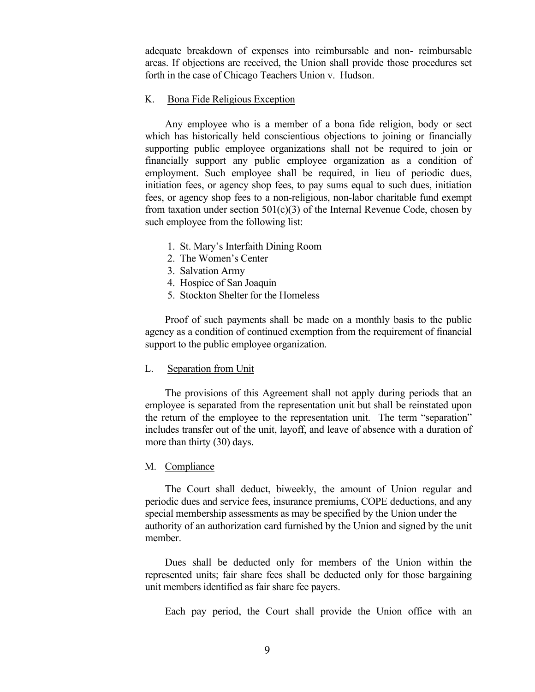adequate breakdown of expenses into reimbursable and non- reimbursable areas. If objections are received, the Union shall provide those procedures set forth in the case of Chicago Teachers Union v. Hudson.

#### <span id="page-14-0"></span>K. Bona Fide Religious Exception

Any employee who is a member of a bona fide religion, body or sect which has historically held conscientious objections to joining or financially supporting public employee organizations shall not be required to join or financially support any public employee organization as a condition of employment. Such employee shall be required, in lieu of periodic dues, initiation fees, or agency shop fees, to pay sums equal to such dues, initiation fees, or agency shop fees to a non-religious, non-labor charitable fund exempt from taxation under section  $501(c)(3)$  of the Internal Revenue Code, chosen by such employee from the following list:

- 1. St. Mary's Interfaith Dining Room
- 2. The Women's Center
- 3. Salvation Army
- 4. Hospice of San Joaquin
- 5. Stockton Shelter for the Homeless

Proof of such payments shall be made on a monthly basis to the public agency as a condition of continued exemption from the requirement of financial support to the public employee organization.

#### <span id="page-14-1"></span>L. Separation from Unit

The provisions of this Agreement shall not apply during periods that an employee is separated from the representation unit but shall be reinstated upon the return of the employee to the representation unit. The term "separation" includes transfer out of the unit, layoff, and leave of absence with a duration of more than thirty (30) days.

# <span id="page-14-2"></span>M. Compliance

The Court shall deduct, biweekly, the amount of Union regular and periodic dues and service fees, insurance premiums, COPE deductions, and any special membership assessments as may be specified by the Union under the authority of an authorization card furnished by the Union and signed by the unit member.

Dues shall be deducted only for members of the Union within the represented units; fair share fees shall be deducted only for those bargaining unit members identified as fair share fee payers.

Each pay period, the Court shall provide the Union office with an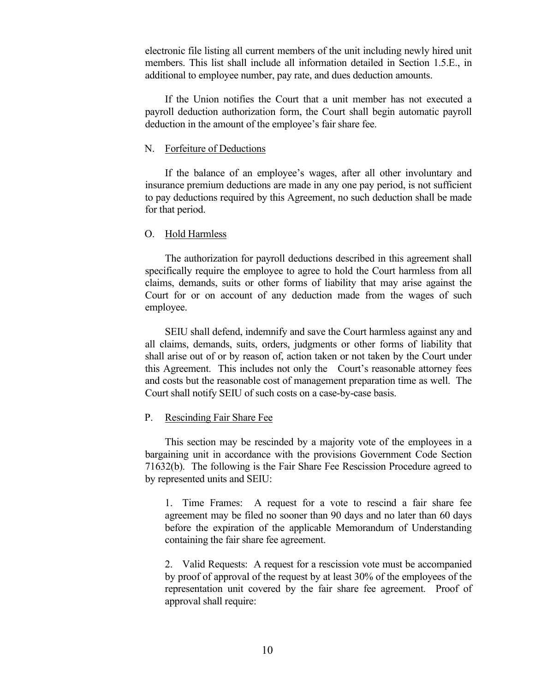electronic file listing all current members of the unit including newly hired unit members. This list shall include all information detailed in Section 1.5.E., in additional to employee number, pay rate, and dues deduction amounts.

If the Union notifies the Court that a unit member has not executed a payroll deduction authorization form, the Court shall begin automatic payroll deduction in the amount of the employee's fair share fee.

#### <span id="page-15-0"></span>N. Forfeiture of Deductions

If the balance of an employee's wages, after all other involuntary and insurance premium deductions are made in any one pay period, is not sufficient to pay deductions required by this Agreement, no such deduction shall be made for that period.

# <span id="page-15-1"></span>O. Hold Harmless

The authorization for payroll deductions described in this agreement shall specifically require the employee to agree to hold the Court harmless from all claims, demands, suits or other forms of liability that may arise against the Court for or on account of any deduction made from the wages of such employee.

SEIU shall defend, indemnify and save the Court harmless against any and all claims, demands, suits, orders, judgments or other forms of liability that shall arise out of or by reason of, action taken or not taken by the Court under this Agreement. This includes not only the Court's reasonable attorney fees and costs but the reasonable cost of management preparation time as well. The Court shall notify SEIU of such costs on a case-by-case basis.

# <span id="page-15-2"></span>P. Rescinding Fair Share Fee

This section may be rescinded by a majority vote of the employees in a bargaining unit in accordance with the provisions Government Code Section 71632(b). The following is the Fair Share Fee Rescission Procedure agreed to by represented units and SEIU:

1. Time Frames: A request for a vote to rescind a fair share fee agreement may be filed no sooner than 90 days and no later than 60 days before the expiration of the applicable Memorandum of Understanding containing the fair share fee agreement.

2. Valid Requests: A request for a rescission vote must be accompanied by proof of approval of the request by at least 30% of the employees of the representation unit covered by the fair share fee agreement. Proof of approval shall require: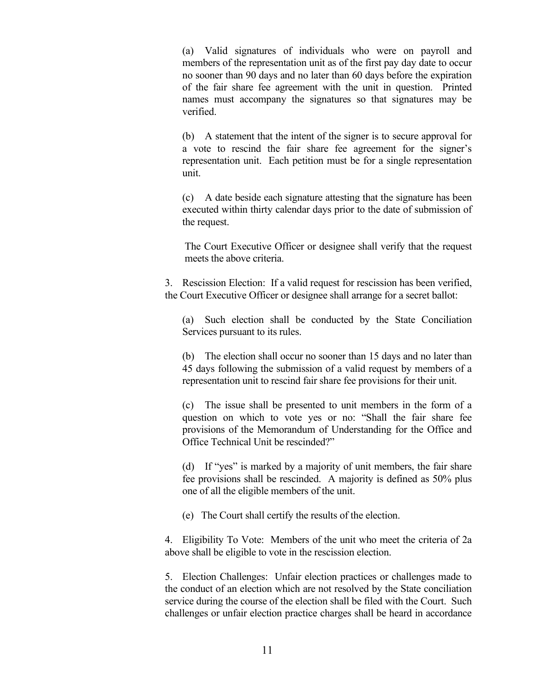(a) Valid signatures of individuals who were on payroll and members of the representation unit as of the first pay day date to occur no sooner than 90 days and no later than 60 days before the expiration of the fair share fee agreement with the unit in question. Printed names must accompany the signatures so that signatures may be verified.

(b) A statement that the intent of the signer is to secure approval for a vote to rescind the fair share fee agreement for the signer's representation unit. Each petition must be for a single representation unit.

(c) A date beside each signature attesting that the signature has been executed within thirty calendar days prior to the date of submission of the request.

The Court Executive Officer or designee shall verify that the request meets the above criteria.

3. Rescission Election: If a valid request for rescission has been verified, the Court Executive Officer or designee shall arrange for a secret ballot:

(a) Such election shall be conducted by the State Conciliation Services pursuant to its rules.

(b) The election shall occur no sooner than 15 days and no later than 45 days following the submission of a valid request by members of a representation unit to rescind fair share fee provisions for their unit.

(c) The issue shall be presented to unit members in the form of a question on which to vote yes or no: "Shall the fair share fee provisions of the Memorandum of Understanding for the Office and Office Technical Unit be rescinded?"

(d) If "yes" is marked by a majority of unit members, the fair share fee provisions shall be rescinded. A majority is defined as 50% plus one of all the eligible members of the unit.

(e) The Court shall certify the results of the election.

4. Eligibility To Vote: Members of the unit who meet the criteria of 2a above shall be eligible to vote in the rescission election.

5. Election Challenges: Unfair election practices or challenges made to the conduct of an election which are not resolved by the State conciliation service during the course of the election shall be filed with the Court. Such challenges or unfair election practice charges shall be heard in accordance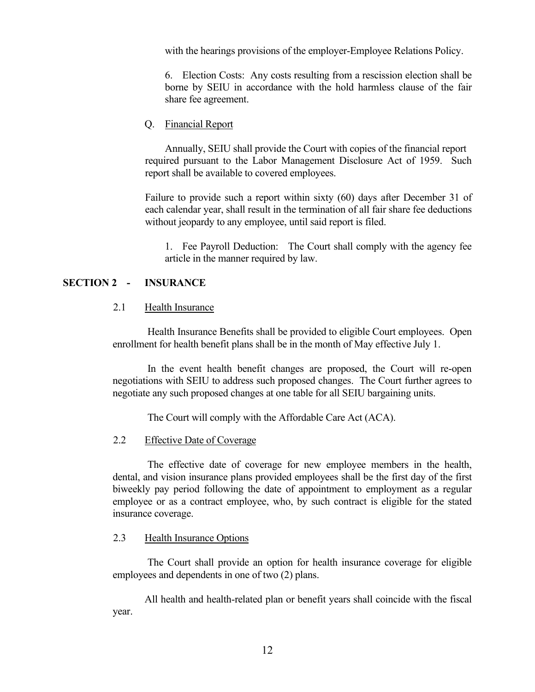with the hearings provisions of the employer-Employee Relations Policy.

6. Election Costs: Any costs resulting from a rescission election shall be borne by SEIU in accordance with the hold harmless clause of the fair share fee agreement.

# <span id="page-17-0"></span>Q. Financial Report

Annually, SEIU shall provide the Court with copies of the financial report required pursuant to the Labor Management Disclosure Act of 1959. Such report shall be available to covered employees.

Failure to provide such a report within sixty (60) days after December 31 of each calendar year, shall result in the termination of all fair share fee deductions without jeopardy to any employee, until said report is filed.

1. Fee Payroll Deduction: The Court shall comply with the agency fee article in the manner required by law.

# <span id="page-17-1"></span>**SECTION 2 - INSURANCE**

# <span id="page-17-2"></span>2.1 Health Insurance

Health Insurance Benefits shall be provided to eligible Court employees. Open enrollment for health benefit plans shall be in the month of May effective July 1.

In the event health benefit changes are proposed, the Court will re-open negotiations with SEIU to address such proposed changes. The Court further agrees to negotiate any such proposed changes at one table for all SEIU bargaining units.

The Court will comply with the Affordable Care Act (ACA).

# <span id="page-17-3"></span>2.2 Effective Date of Coverage

The effective date of coverage for new employee members in the health, dental, and vision insurance plans provided employees shall be the first day of the first biweekly pay period following the date of appointment to employment as a regular employee or as a contract employee, who, by such contract is eligible for the stated insurance coverage.

# <span id="page-17-4"></span>2.3 Health Insurance Options

The Court shall provide an option for health insurance coverage for eligible employees and dependents in one of two (2) plans.

All health and health-related plan or benefit years shall coincide with the fiscal year.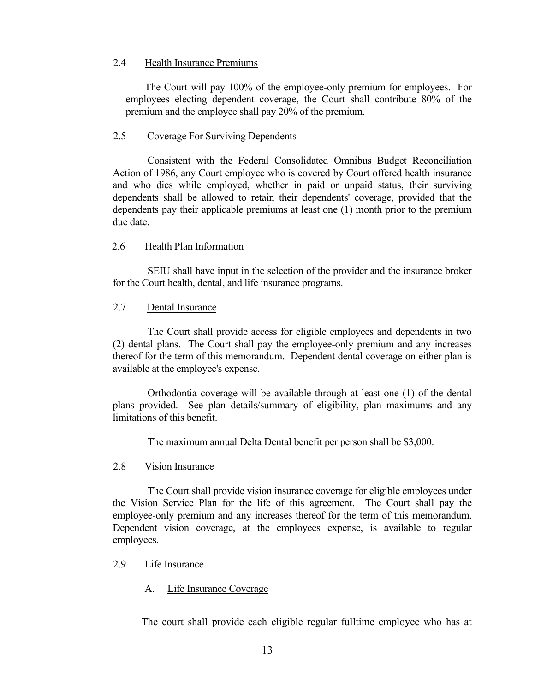# <span id="page-18-0"></span>2.4 Health Insurance Premiums

The Court will pay 100% of the employee-only premium for employees. For employees electing dependent coverage, the Court shall contribute 80% of the premium and the employee shall pay 20% of the premium.

# <span id="page-18-1"></span>2.5 Coverage For Surviving Dependents

Consistent with the Federal Consolidated Omnibus Budget Reconciliation Action of 1986, any Court employee who is covered by Court offered health insurance and who dies while employed, whether in paid or unpaid status, their surviving dependents shall be allowed to retain their dependents' coverage, provided that the dependents pay their applicable premiums at least one (1) month prior to the premium due date.

# <span id="page-18-2"></span>2.6 Health Plan Information

SEIU shall have input in the selection of the provider and the insurance broker for the Court health, dental, and life insurance programs.

# <span id="page-18-3"></span>2.7 Dental Insurance

The Court shall provide access for eligible employees and dependents in two (2) dental plans. The Court shall pay the employee-only premium and any increases thereof for the term of this memorandum. Dependent dental coverage on either plan is available at the employee's expense.

Orthodontia coverage will be available through at least one (1) of the dental plans provided. See plan details/summary of eligibility, plan maximums and any limitations of this benefit.

The maximum annual Delta Dental benefit per person shall be \$3,000.

# <span id="page-18-4"></span>2.8 Vision Insurance

The Court shall provide vision insurance coverage for eligible employees under the Vision Service Plan for the life of this agreement. The Court shall pay the employee-only premium and any increases thereof for the term of this memorandum. Dependent vision coverage, at the employees expense, is available to regular employees.

# <span id="page-18-5"></span>2.9 Life Insurance

# <span id="page-18-6"></span>A. Life Insurance Coverage

The court shall provide each eligible regular fulltime employee who has at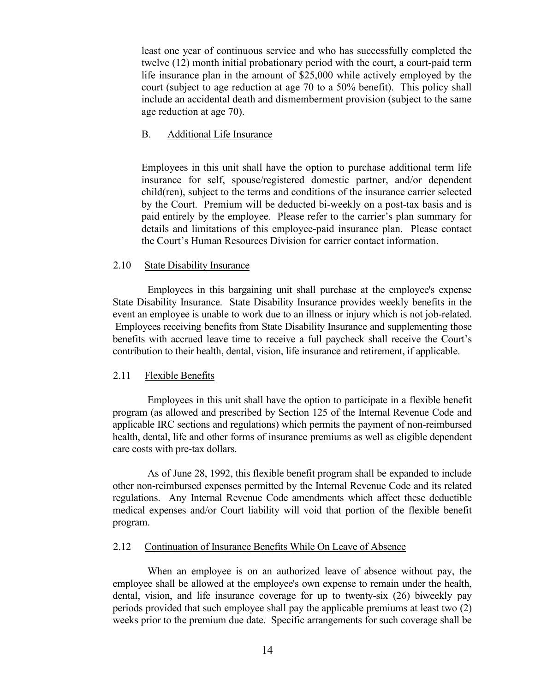least one year of continuous service and who has successfully completed the twelve (12) month initial probationary period with the court, a court-paid term life insurance plan in the amount of \$25,000 while actively employed by the court (subject to age reduction at age 70 to a 50% benefit). This policy shall include an accidental death and dismemberment provision (subject to the same age reduction at age 70).

# <span id="page-19-0"></span>B. Additional Life Insurance

Employees in this unit shall have the option to purchase additional term life insurance for self, spouse/registered domestic partner, and/or dependent child(ren), subject to the terms and conditions of the insurance carrier selected by the Court. Premium will be deducted bi-weekly on a post-tax basis and is paid entirely by the employee. Please refer to the carrier's plan summary for details and limitations of this employee-paid insurance plan. Please contact the Court's Human Resources Division for carrier contact information.

# <span id="page-19-1"></span>2.10 State Disability Insurance

Employees in this bargaining unit shall purchase at the employee's expense State Disability Insurance. State Disability Insurance provides weekly benefits in the event an employee is unable to work due to an illness or injury which is not job-related. Employees receiving benefits from State Disability Insurance and supplementing those benefits with accrued leave time to receive a full paycheck shall receive the Court's contribution to their health, dental, vision, life insurance and retirement, if applicable.

# <span id="page-19-2"></span>2.11 Flexible Benefits

Employees in this unit shall have the option to participate in a flexible benefit program (as allowed and prescribed by Section 125 of the Internal Revenue Code and applicable IRC sections and regulations) which permits the payment of non-reimbursed health, dental, life and other forms of insurance premiums as well as eligible dependent care costs with pre-tax dollars.

As of June 28, 1992, this flexible benefit program shall be expanded to include other non-reimbursed expenses permitted by the Internal Revenue Code and its related regulations. Any Internal Revenue Code amendments which affect these deductible medical expenses and/or Court liability will void that portion of the flexible benefit program.

#### <span id="page-19-3"></span>2.12 Continuation of Insurance Benefits While On Leave of Absence

When an employee is on an authorized leave of absence without pay, the employee shall be allowed at the employee's own expense to remain under the health, dental, vision, and life insurance coverage for up to twenty-six (26) biweekly pay periods provided that such employee shall pay the applicable premiums at least two (2) weeks prior to the premium due date. Specific arrangements for such coverage shall be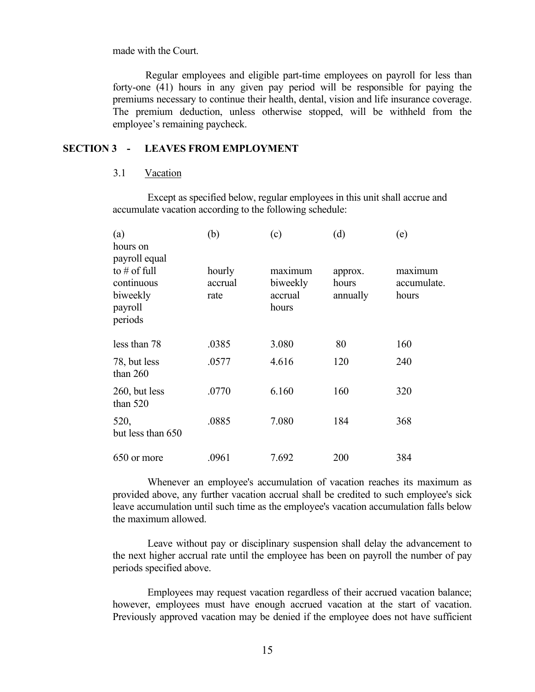made with the Court.

Regular employees and eligible part-time employees on payroll for less than forty-one (41) hours in any given pay period will be responsible for paying the premiums necessary to continue their health, dental, vision and life insurance coverage. The premium deduction, unless otherwise stopped, will be withheld from the employee's remaining paycheck.

#### <span id="page-20-0"></span>**SECTION 3 - LEAVES FROM EMPLOYMENT**

# <span id="page-20-1"></span>3.1 Vacation

Except as specified below, regular employees in this unit shall accrue and accumulate vacation according to the following schedule:

| (a)<br>hours on                                                                 | (b)                       | (c)                                     | (d)                          | (e)                             |
|---------------------------------------------------------------------------------|---------------------------|-----------------------------------------|------------------------------|---------------------------------|
| payroll equal<br>to $#$ of full<br>continuous<br>biweekly<br>payroll<br>periods | hourly<br>accrual<br>rate | maximum<br>biweekly<br>accrual<br>hours | approx.<br>hours<br>annually | maximum<br>accumulate.<br>hours |
| less than 78                                                                    | .0385                     | 3.080                                   | 80                           | 160                             |
| 78, but less<br>than $260$                                                      | .0577                     | 4.616                                   | 120                          | 240                             |
| 260, but less<br>than $520$                                                     | .0770                     | 6.160                                   | 160                          | 320                             |
| 520,<br>but less than 650                                                       | .0885                     | 7.080                                   | 184                          | 368                             |
| 650 or more                                                                     | .0961                     | 7.692                                   | 200                          | 384                             |

Whenever an employee's accumulation of vacation reaches its maximum as provided above, any further vacation accrual shall be credited to such employee's sick leave accumulation until such time as the employee's vacation accumulation falls below the maximum allowed.

Leave without pay or disciplinary suspension shall delay the advancement to the next higher accrual rate until the employee has been on payroll the number of pay periods specified above.

Employees may request vacation regardless of their accrued vacation balance; however, employees must have enough accrued vacation at the start of vacation. Previously approved vacation may be denied if the employee does not have sufficient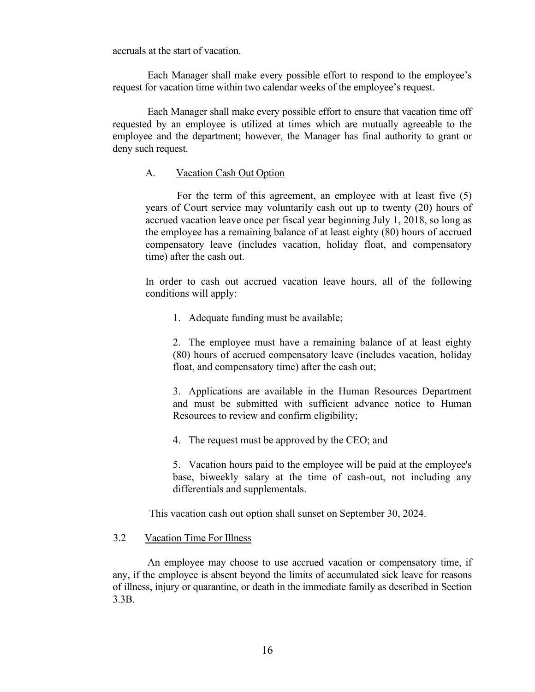accruals at the start of vacation.

Each Manager shall make every possible effort to respond to the employee's request for vacation time within two calendar weeks of the employee's request.

<span id="page-21-0"></span>Each Manager shall make every possible effort to ensure that vacation time off requested by an employee is utilized at times which are mutually agreeable to the employee and the department; however, the Manager has final authority to grant or deny such request.

#### A. Vacation Cash Out Option

For the term of this agreement, an employee with at least five (5) years of Court service may voluntarily cash out up to twenty (20) hours of accrued vacation leave once per fiscal year beginning July 1, 2018, so long as the employee has a remaining balance of at least eighty (80) hours of accrued compensatory leave (includes vacation, holiday float, and compensatory time) after the cash out.

In order to cash out accrued vacation leave hours, all of the following conditions will apply:

1. Adequate funding must be available;

2. The employee must have a remaining balance of at least eighty (80) hours of accrued compensatory leave (includes vacation, holiday float, and compensatory time) after the cash out;

3. Applications are available in the Human Resources Department and must be submitted with sufficient advance notice to Human Resources to review and confirm eligibility;

4. The request must be approved by the CEO; and

5. Vacation hours paid to the employee will be paid at the employee's base, biweekly salary at the time of cash-out, not including any differentials and supplementals.

This vacation cash out option shall sunset on September 30, 2024.

#### <span id="page-21-1"></span>3.2 Vacation Time For Illness

An employee may choose to use accrued vacation or compensatory time, if any, if the employee is absent beyond the limits of accumulated sick leave for reasons of illness, injury or quarantine, or death in the immediate family as described in Section 3.3B.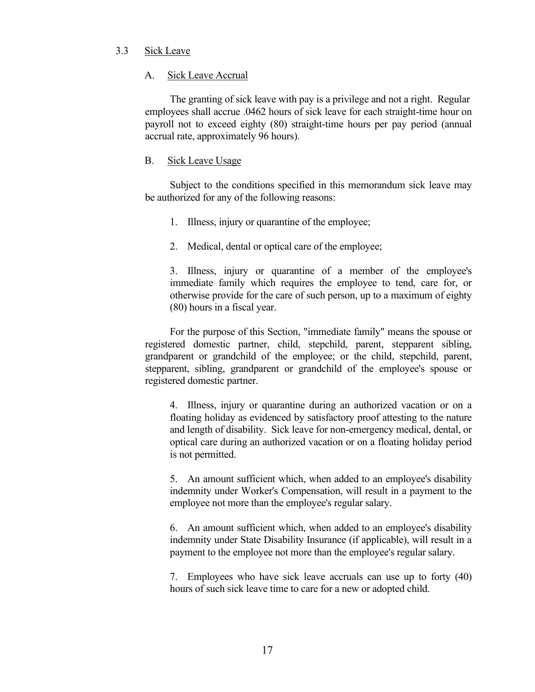# <span id="page-22-0"></span>3.3 Sick Leave

# <span id="page-22-1"></span>A. Sick Leave Accrual

The granting of sick leave with pay is a privilege and not a right. Regular employees shall accrue .0462 hours of sick leave for each straight-time hour on payroll not to exceed eighty (80) straight-time hours per pay period (annual accrual rate, approximately 96 hours).

# <span id="page-22-2"></span>B. Sick Leave Usage

Subject to the conditions specified in this memorandum sick leave may be authorized for any of the following reasons:

- 1. Illness, injury or quarantine of the employee;
- 2. Medical, dental or optical care of the employee;

3. Illness, injury or quarantine of a member of the employee's immediate family which requires the employee to tend, care for, or otherwise provide for the care of such person, up to a maximum of eighty (80) hours in a fiscal year.

For the purpose of this Section, "immediate family" means the spouse or registered domestic partner, child, stepchild, parent, stepparent sibling, grandparent or grandchild of the employee; or the child, stepchild, parent, stepparent, sibling, grandparent or grandchild of the employee's spouse or registered domestic partner.

4. Illness, injury or quarantine during an authorized vacation or on a floating holiday as evidenced by satisfactory proof attesting to the nature and length of disability. Sick leave for non-emergency medical, dental, or optical care during an authorized vacation or on a floating holiday period is not permitted.

5. An amount sufficient which, when added to an employee's disability indemnity under Worker's Compensation, will result in a payment to the employee not more than the employee's regular salary.

6. An amount sufficient which, when added to an employee's disability indemnity under State Disability Insurance (if applicable), will result in a payment to the employee not more than the employee's regular salary.

7. Employees who have sick leave accruals can use up to forty (40) hours of such sick leave time to care for a new or adopted child.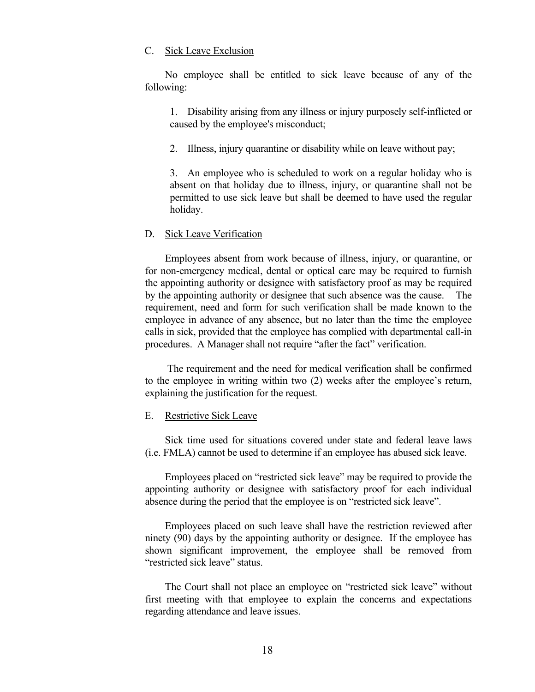#### <span id="page-23-0"></span>C. Sick Leave Exclusion

No employee shall be entitled to sick leave because of any of the following:

1. Disability arising from any illness or injury purposely self-inflicted or caused by the employee's misconduct;

2. Illness, injury quarantine or disability while on leave without pay;

3. An employee who is scheduled to work on a regular holiday who is absent on that holiday due to illness, injury, or quarantine shall not be permitted to use sick leave but shall be deemed to have used the regular holiday.

#### <span id="page-23-1"></span>D. Sick Leave Verification

Employees absent from work because of illness, injury, or quarantine, or for non-emergency medical, dental or optical care may be required to furnish the appointing authority or designee with satisfactory proof as may be required by the appointing authority or designee that such absence was the cause. The requirement, need and form for such verification shall be made known to the employee in advance of any absence, but no later than the time the employee calls in sick, provided that the employee has complied with departmental call-in procedures. A Manager shall not require "after the fact" verification.

The requirement and the need for medical verification shall be confirmed to the employee in writing within two (2) weeks after the employee's return, explaining the justification for the request.

#### <span id="page-23-2"></span>E. Restrictive Sick Leave

Sick time used for situations covered under state and federal leave laws (i.e. FMLA) cannot be used to determine if an employee has abused sick leave.

Employees placed on "restricted sick leave" may be required to provide the appointing authority or designee with satisfactory proof for each individual absence during the period that the employee is on "restricted sick leave".

Employees placed on such leave shall have the restriction reviewed after ninety (90) days by the appointing authority or designee. If the employee has shown significant improvement, the employee shall be removed from "restricted sick leave" status.

The Court shall not place an employee on "restricted sick leave" without first meeting with that employee to explain the concerns and expectations regarding attendance and leave issues.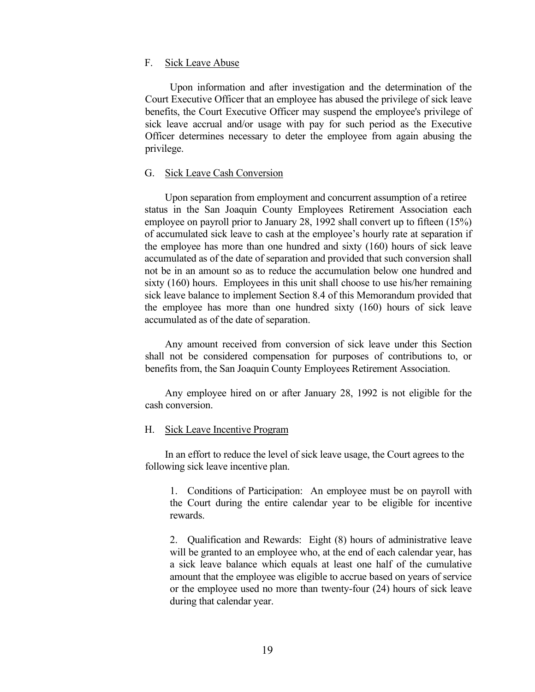#### <span id="page-24-0"></span>F. Sick Leave Abuse

Upon information and after investigation and the determination of the Court Executive Officer that an employee has abused the privilege of sick leave benefits, the Court Executive Officer may suspend the employee's privilege of sick leave accrual and/or usage with pay for such period as the Executive Officer determines necessary to deter the employee from again abusing the privilege.

#### <span id="page-24-1"></span>G. Sick Leave Cash Conversion

Upon separation from employment and concurrent assumption of a retiree status in the San Joaquin County Employees Retirement Association each employee on payroll prior to January 28, 1992 shall convert up to fifteen (15%) of accumulated sick leave to cash at the employee's hourly rate at separation if the employee has more than one hundred and sixty (160) hours of sick leave accumulated as of the date of separation and provided that such conversion shall not be in an amount so as to reduce the accumulation below one hundred and sixty (160) hours. Employees in this unit shall choose to use his/her remaining sick leave balance to implement Section 8.4 of this Memorandum provided that the employee has more than one hundred sixty (160) hours of sick leave accumulated as of the date of separation.

Any amount received from conversion of sick leave under this Section shall not be considered compensation for purposes of contributions to, or benefits from, the San Joaquin County Employees Retirement Association.

Any employee hired on or after January 28, 1992 is not eligible for the cash conversion.

#### <span id="page-24-2"></span>H. Sick Leave Incentive Program

In an effort to reduce the level of sick leave usage, the Court agrees to the following sick leave incentive plan.

1. Conditions of Participation: An employee must be on payroll with the Court during the entire calendar year to be eligible for incentive rewards.

2. Qualification and Rewards: Eight (8) hours of administrative leave will be granted to an employee who, at the end of each calendar year, has a sick leave balance which equals at least one half of the cumulative amount that the employee was eligible to accrue based on years of service or the employee used no more than twenty-four (24) hours of sick leave during that calendar year.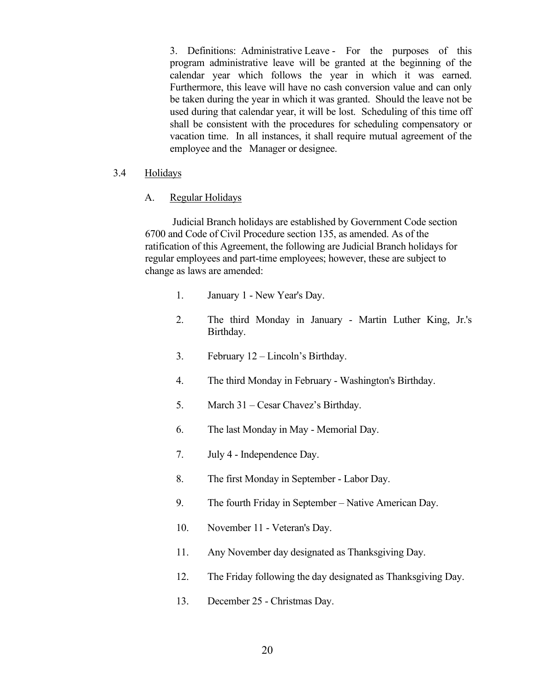3. Definitions: Administrative Leave - For the purposes of this program administrative leave will be granted at the beginning of the calendar year which follows the year in which it was earned. Furthermore, this leave will have no cash conversion value and can only be taken during the year in which it was granted. Should the leave not be used during that calendar year, it will be lost. Scheduling of this time off shall be consistent with the procedures for scheduling compensatory or vacation time. In all instances, it shall require mutual agreement of the employee and the Manager or designee.

# <span id="page-25-0"></span>3.4 Holidays

# <span id="page-25-1"></span>A. Regular Holidays

Judicial Branch holidays are established by Government Code section 6700 and Code of Civil Procedure section 135, as amended. As of the ratification of this Agreement, the following are Judicial Branch holidays for regular employees and part-time employees; however, these are subject to change as laws are amended:

- 1. January 1 New Year's Day.
- 2. The third Monday in January Martin Luther King, Jr.'s Birthday.
- 3. February 12 Lincoln's Birthday.
- 4. The third Monday in February Washington's Birthday.
- 5. March 31 Cesar Chavez's Birthday.
- 6. The last Monday in May Memorial Day.
- 7. July 4 Independence Day.
- 8. The first Monday in September Labor Day.
- 9. The fourth Friday in September Native American Day.
- 10. November 11 Veteran's Day.
- 11. Any November day designated as Thanksgiving Day.
- 12. The Friday following the day designated as Thanksgiving Day.
- 13. December 25 Christmas Day.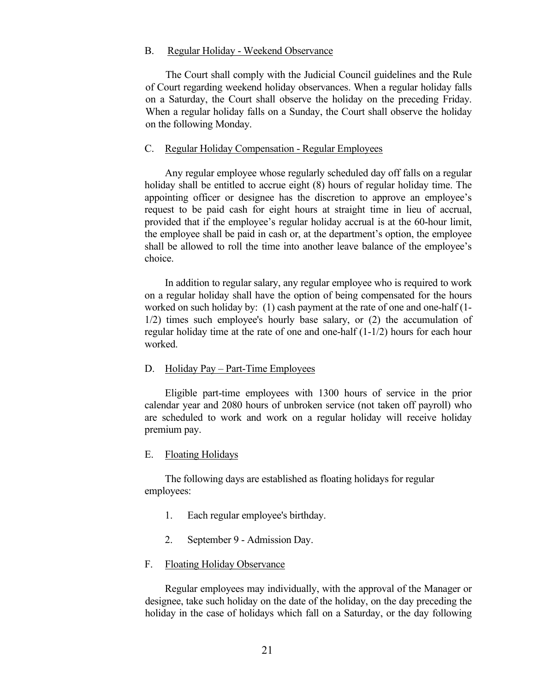#### <span id="page-26-0"></span>B. Regular Holiday - Weekend Observance

 The Court shall comply with the Judicial Council guidelines and the Rule of Court regarding weekend holiday observances. When a regular holiday falls on a Saturday, the Court shall observe the holiday on the preceding Friday. When a regular holiday falls on a Sunday, the Court shall observe the holiday on the following Monday.

#### <span id="page-26-1"></span>C. Regular Holiday Compensation - Regular Employees

Any regular employee whose regularly scheduled day off falls on a regular holiday shall be entitled to accrue eight (8) hours of regular holiday time. The appointing officer or designee has the discretion to approve an employee's request to be paid cash for eight hours at straight time in lieu of accrual, provided that if the employee's regular holiday accrual is at the 60-hour limit, the employee shall be paid in cash or, at the department's option, the employee shall be allowed to roll the time into another leave balance of the employee's choice.

In addition to regular salary, any regular employee who is required to work on a regular holiday shall have the option of being compensated for the hours worked on such holiday by: (1) cash payment at the rate of one and one-half (1- 1/2) times such employee's hourly base salary, or (2) the accumulation of regular holiday time at the rate of one and one-half (1-1/2) hours for each hour worked.

#### <span id="page-26-2"></span>D. Holiday Pay – Part-Time Employees

Eligible part-time employees with 1300 hours of service in the prior calendar year and 2080 hours of unbroken service (not taken off payroll) who are scheduled to work and work on a regular holiday will receive holiday premium pay.

#### <span id="page-26-3"></span>E. Floating Holidays

The following days are established as floating holidays for regular employees:

- 1. Each regular employee's birthday.
- 2. September 9 Admission Day.

#### <span id="page-26-4"></span>F. Floating Holiday Observance

Regular employees may individually, with the approval of the Manager or designee, take such holiday on the date of the holiday, on the day preceding the holiday in the case of holidays which fall on a Saturday, or the day following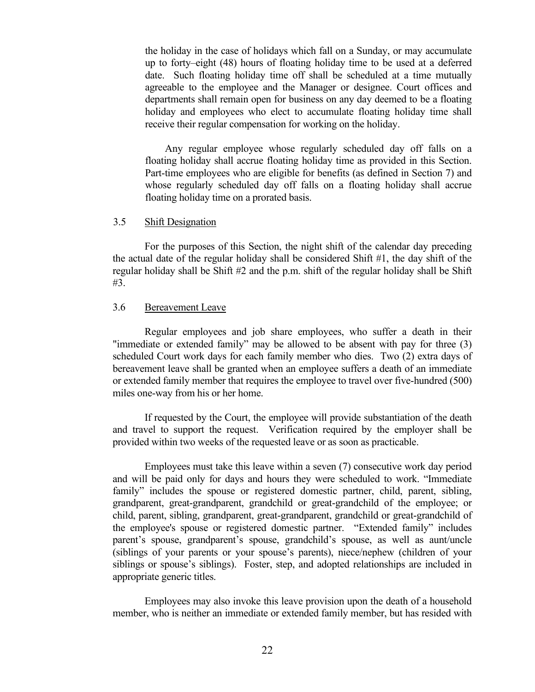the holiday in the case of holidays which fall on a Sunday, or may accumulate up to forty–eight (48) hours of floating holiday time to be used at a deferred date. Such floating holiday time off shall be scheduled at a time mutually agreeable to the employee and the Manager or designee. Court offices and departments shall remain open for business on any day deemed to be a floating holiday and employees who elect to accumulate floating holiday time shall receive their regular compensation for working on the holiday.

Any regular employee whose regularly scheduled day off falls on a floating holiday shall accrue floating holiday time as provided in this Section. Part-time employees who are eligible for benefits (as defined in Section 7) and whose regularly scheduled day off falls on a floating holiday shall accrue floating holiday time on a prorated basis.

# <span id="page-27-0"></span>3.5 Shift Designation

For the purposes of this Section, the night shift of the calendar day preceding the actual date of the regular holiday shall be considered Shift #1, the day shift of the regular holiday shall be Shift #2 and the p.m. shift of the regular holiday shall be Shift #3.

# <span id="page-27-1"></span>3.6 Bereavement Leave

Regular employees and job share employees, who suffer a death in their "immediate or extended family" may be allowed to be absent with pay for three (3) scheduled Court work days for each family member who dies. Two (2) extra days of bereavement leave shall be granted when an employee suffers a death of an immediate or extended family member that requires the employee to travel over five-hundred (500) miles one-way from his or her home.

If requested by the Court, the employee will provide substantiation of the death and travel to support the request. Verification required by the employer shall be provided within two weeks of the requested leave or as soon as practicable.

Employees must take this leave within a seven (7) consecutive work day period and will be paid only for days and hours they were scheduled to work. "Immediate family" includes the spouse or registered domestic partner, child, parent, sibling, grandparent, great-grandparent, grandchild or great-grandchild of the employee; or child, parent, sibling, grandparent, great-grandparent, grandchild or great-grandchild of the employee's spouse or registered domestic partner. "Extended family" includes parent's spouse, grandparent's spouse, grandchild's spouse, as well as aunt/uncle (siblings of your parents or your spouse's parents), niece/nephew (children of your siblings or spouse's siblings). Foster, step, and adopted relationships are included in appropriate generic titles.

Employees may also invoke this leave provision upon the death of a household member, who is neither an immediate or extended family member, but has resided with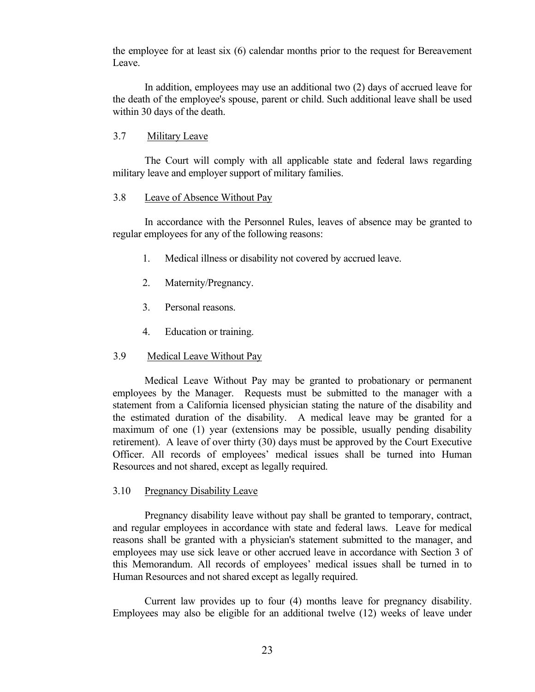the employee for at least six (6) calendar months prior to the request for Bereavement Leave.

In addition, employees may use an additional two (2) days of accrued leave for the death of the employee's spouse, parent or child. Such additional leave shall be used within 30 days of the death.

# <span id="page-28-0"></span>3.7 Military Leave

The Court will comply with all applicable state and federal laws regarding military leave and employer support of military families.

# <span id="page-28-1"></span>3.8 Leave of Absence Without Pay

In accordance with the Personnel Rules, leaves of absence may be granted to regular employees for any of the following reasons:

- 1. Medical illness or disability not covered by accrued leave.
- 2. Maternity/Pregnancy.
- 3. Personal reasons.
- 4. Education or training.
- <span id="page-28-2"></span>3.9 Medical Leave Without Pay

Medical Leave Without Pay may be granted to probationary or permanent employees by the Manager. Requests must be submitted to the manager with a statement from a California licensed physician stating the nature of the disability and the estimated duration of the disability. A medical leave may be granted for a maximum of one (1) year (extensions may be possible, usually pending disability retirement). A leave of over thirty (30) days must be approved by the Court Executive Officer. All records of employees' medical issues shall be turned into Human Resources and not shared, except as legally required.

#### <span id="page-28-3"></span>3.10 Pregnancy Disability Leave

Pregnancy disability leave without pay shall be granted to temporary, contract, and regular employees in accordance with state and federal laws. Leave for medical reasons shall be granted with a physician's statement submitted to the manager, and employees may use sick leave or other accrued leave in accordance with Section 3 of this Memorandum. All records of employees' medical issues shall be turned in to Human Resources and not shared except as legally required.

Current law provides up to four (4) months leave for pregnancy disability. Employees may also be eligible for an additional twelve (12) weeks of leave under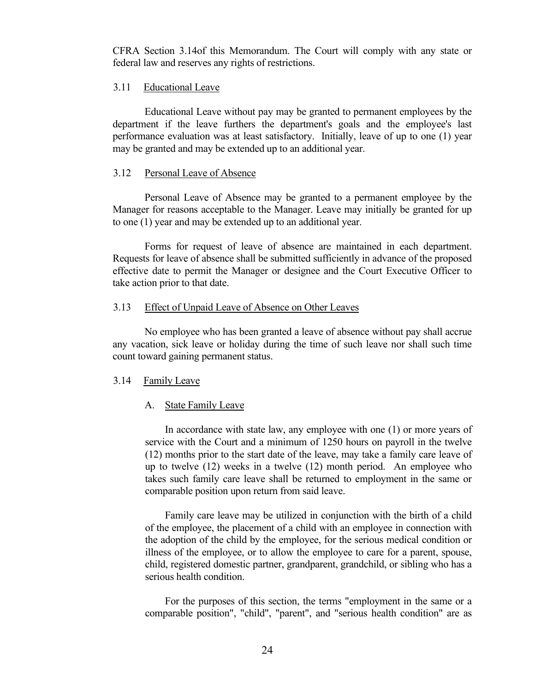CFRA Section 3.14of this Memorandum. The Court will comply with any state or federal law and reserves any rights of restrictions.

# <span id="page-29-0"></span>3.11 Educational Leave

Educational Leave without pay may be granted to permanent employees by the department if the leave furthers the department's goals and the employee's last performance evaluation was at least satisfactory. Initially, leave of up to one (1) year may be granted and may be extended up to an additional year.

#### <span id="page-29-1"></span>3.12 Personal Leave of Absence

Personal Leave of Absence may be granted to a permanent employee by the Manager for reasons acceptable to the Manager. Leave may initially be granted for up to one (1) year and may be extended up to an additional year.

Forms for request of leave of absence are maintained in each department. Requests for leave of absence shall be submitted sufficiently in advance of the proposed effective date to permit the Manager or designee and the Court Executive Officer to take action prior to that date.

# <span id="page-29-2"></span>3.13 Effect of Unpaid Leave of Absence on Other Leaves

No employee who has been granted a leave of absence without pay shall accrue any vacation, sick leave or holiday during the time of such leave nor shall such time count toward gaining permanent status.

# <span id="page-29-3"></span>3.14 Family Leave

# <span id="page-29-4"></span>A. State Family Leave

In accordance with state law, any employee with one (1) or more years of service with the Court and a minimum of 1250 hours on payroll in the twelve (12) months prior to the start date of the leave, may take a family care leave of up to twelve (12) weeks in a twelve (12) month period. An employee who takes such family care leave shall be returned to employment in the same or comparable position upon return from said leave.

Family care leave may be utilized in conjunction with the birth of a child of the employee, the placement of a child with an employee in connection with the adoption of the child by the employee, for the serious medical condition or illness of the employee, or to allow the employee to care for a parent, spouse, child, registered domestic partner, grandparent, grandchild, or sibling who has a serious health condition.

For the purposes of this section, the terms "employment in the same or a comparable position", "child", "parent", and "serious health condition" are as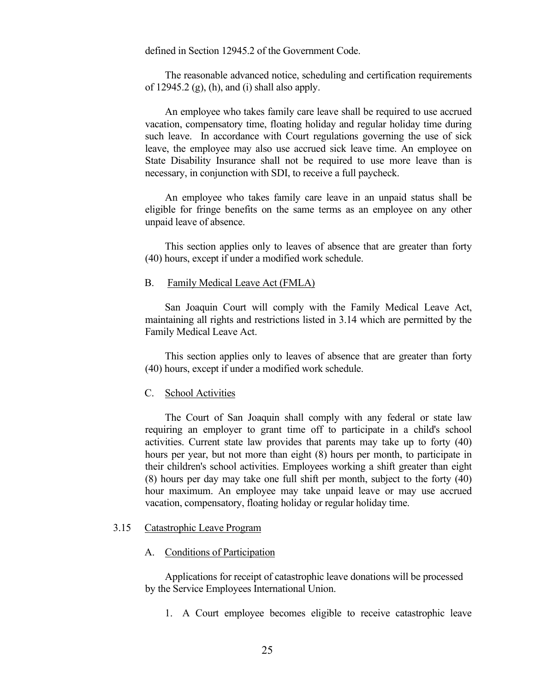defined in Section 12945.2 of the Government Code.

The reasonable advanced notice, scheduling and certification requirements of  $12945.2$  (g), (h), and (i) shall also apply.

An employee who takes family care leave shall be required to use accrued vacation, compensatory time, floating holiday and regular holiday time during such leave. In accordance with Court regulations governing the use of sick leave, the employee may also use accrued sick leave time. An employee on State Disability Insurance shall not be required to use more leave than is necessary, in conjunction with SDI, to receive a full paycheck.

An employee who takes family care leave in an unpaid status shall be eligible for fringe benefits on the same terms as an employee on any other unpaid leave of absence.

This section applies only to leaves of absence that are greater than forty (40) hours, except if under a modified work schedule.

#### <span id="page-30-0"></span>B. Family Medical Leave Act (FMLA)

San Joaquin Court will comply with the Family Medical Leave Act, maintaining all rights and restrictions listed in 3.14 which are permitted by the Family Medical Leave Act.

This section applies only to leaves of absence that are greater than forty (40) hours, except if under a modified work schedule.

#### <span id="page-30-1"></span>C. School Activities

The Court of San Joaquin shall comply with any federal or state law requiring an employer to grant time off to participate in a child's school activities. Current state law provides that parents may take up to forty (40) hours per year, but not more than eight (8) hours per month, to participate in their children's school activities. Employees working a shift greater than eight (8) hours per day may take one full shift per month, subject to the forty (40) hour maximum. An employee may take unpaid leave or may use accrued vacation, compensatory, floating holiday or regular holiday time.

#### <span id="page-30-2"></span>3.15 Catastrophic Leave Program

#### <span id="page-30-3"></span>A. Conditions of Participation

Applications for receipt of catastrophic leave donations will be processed by the Service Employees International Union.

1. A Court employee becomes eligible to receive catastrophic leave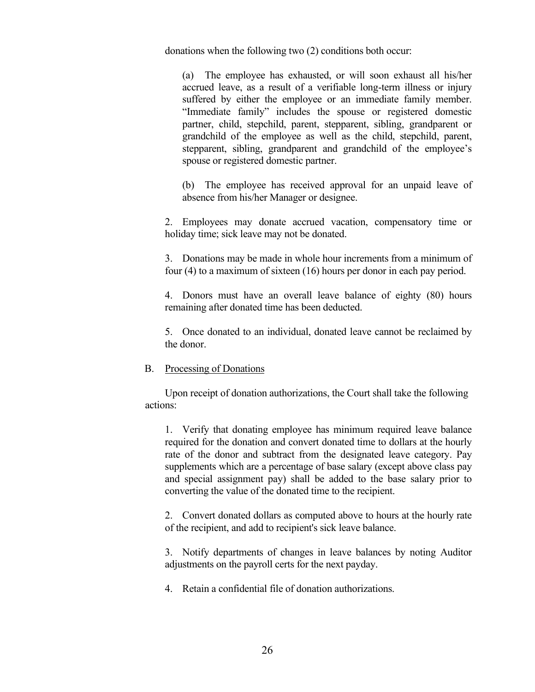donations when the following two (2) conditions both occur:

(a) The employee has exhausted, or will soon exhaust all his/her accrued leave, as a result of a verifiable long-term illness or injury suffered by either the employee or an immediate family member. "Immediate family" includes the spouse or registered domestic partner, child, stepchild, parent, stepparent, sibling, grandparent or grandchild of the employee as well as the child, stepchild, parent, stepparent, sibling, grandparent and grandchild of the employee's spouse or registered domestic partner.

(b) The employee has received approval for an unpaid leave of absence from his/her Manager or designee.

2. Employees may donate accrued vacation, compensatory time or holiday time; sick leave may not be donated.

3. Donations may be made in whole hour increments from a minimum of four (4) to a maximum of sixteen (16) hours per donor in each pay period.

4. Donors must have an overall leave balance of eighty (80) hours remaining after donated time has been deducted.

5. Once donated to an individual, donated leave cannot be reclaimed by the donor.

#### <span id="page-31-0"></span>B. Processing of Donations

Upon receipt of donation authorizations, the Court shall take the following actions:

1. Verify that donating employee has minimum required leave balance required for the donation and convert donated time to dollars at the hourly rate of the donor and subtract from the designated leave category. Pay supplements which are a percentage of base salary (except above class pay and special assignment pay) shall be added to the base salary prior to converting the value of the donated time to the recipient.

2. Convert donated dollars as computed above to hours at the hourly rate of the recipient, and add to recipient's sick leave balance.

3. Notify departments of changes in leave balances by noting Auditor adjustments on the payroll certs for the next payday.

4. Retain a confidential file of donation authorizations.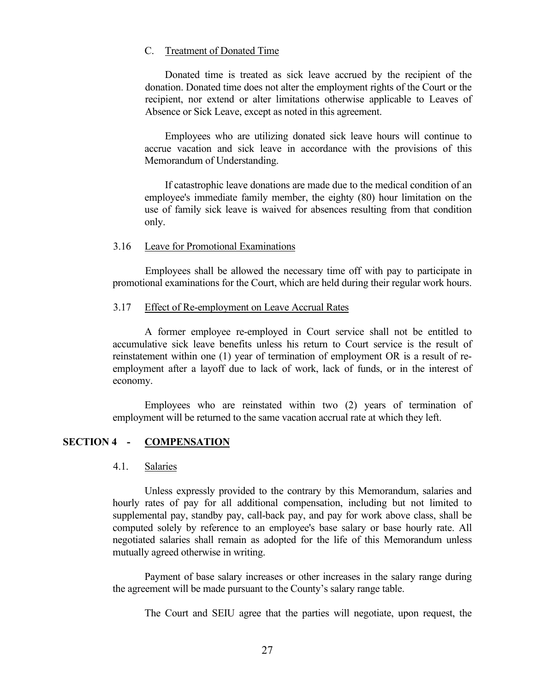# <span id="page-32-0"></span>C. Treatment of Donated Time

Donated time is treated as sick leave accrued by the recipient of the donation. Donated time does not alter the employment rights of the Court or the recipient, nor extend or alter limitations otherwise applicable to Leaves of Absence or Sick Leave, except as noted in this agreement.

Employees who are utilizing donated sick leave hours will continue to accrue vacation and sick leave in accordance with the provisions of this Memorandum of Understanding.

If catastrophic leave donations are made due to the medical condition of an employee's immediate family member, the eighty (80) hour limitation on the use of family sick leave is waived for absences resulting from that condition only.

#### <span id="page-32-1"></span>3.16 Leave for Promotional Examinations

Employees shall be allowed the necessary time off with pay to participate in promotional examinations for the Court, which are held during their regular work hours.

# <span id="page-32-2"></span>3.17 Effect of Re-employment on Leave Accrual Rates

A former employee re-employed in Court service shall not be entitled to accumulative sick leave benefits unless his return to Court service is the result of reinstatement within one (1) year of termination of employment OR is a result of reemployment after a layoff due to lack of work, lack of funds, or in the interest of economy.

Employees who are reinstated within two (2) years of termination of employment will be returned to the same vacation accrual rate at which they left.

# <span id="page-32-3"></span>**SECTION 4 - COMPENSATION**

#### <span id="page-32-4"></span>4.1. Salaries

Unless expressly provided to the contrary by this Memorandum, salaries and hourly rates of pay for all additional compensation, including but not limited to supplemental pay, standby pay, call-back pay, and pay for work above class, shall be computed solely by reference to an employee's base salary or base hourly rate. All negotiated salaries shall remain as adopted for the life of this Memorandum unless mutually agreed otherwise in writing.

Payment of base salary increases or other increases in the salary range during the agreement will be made pursuant to the County's salary range table.

The Court and SEIU agree that the parties will negotiate, upon request, the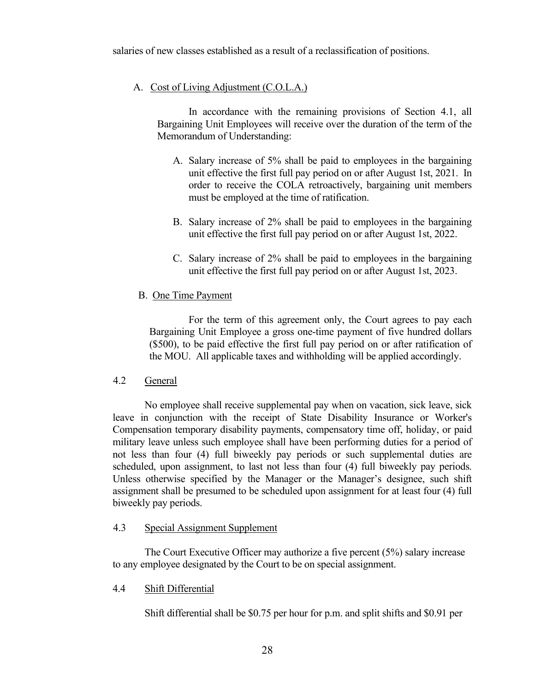salaries of new classes established as a result of a reclassification of positions.

# <span id="page-33-0"></span>A. Cost of Living Adjustment (C.O.L.A.)

In accordance with the remaining provisions of Section 4.1, all Bargaining Unit Employees will receive over the duration of the term of the Memorandum of Understanding:

- A. Salary increase of 5% shall be paid to employees in the bargaining unit effective the first full pay period on or after August 1st, 2021. In order to receive the COLA retroactively, bargaining unit members must be employed at the time of ratification.
- B. Salary increase of 2% shall be paid to employees in the bargaining unit effective the first full pay period on or after August 1st, 2022.
- C. Salary increase of 2% shall be paid to employees in the bargaining unit effective the first full pay period on or after August 1st, 2023.

# <span id="page-33-1"></span>B. One Time Payment

For the term of this agreement only, the Court agrees to pay each Bargaining Unit Employee a gross one-time payment of five hundred dollars (\$500), to be paid effective the first full pay period on or after ratification of the MOU. All applicable taxes and withholding will be applied accordingly.

# <span id="page-33-2"></span>4.2 General

No employee shall receive supplemental pay when on vacation, sick leave, sick leave in conjunction with the receipt of State Disability Insurance or Worker's Compensation temporary disability payments, compensatory time off, holiday, or paid military leave unless such employee shall have been performing duties for a period of not less than four (4) full biweekly pay periods or such supplemental duties are scheduled, upon assignment, to last not less than four (4) full biweekly pay periods. Unless otherwise specified by the Manager or the Manager's designee, such shift assignment shall be presumed to be scheduled upon assignment for at least four (4) full biweekly pay periods.

# <span id="page-33-3"></span>4.3 Special Assignment Supplement

The Court Executive Officer may authorize a five percent (5%) salary increase to any employee designated by the Court to be on special assignment.

# <span id="page-33-4"></span>4.4 Shift Differential

Shift differential shall be \$0.75 per hour for p.m. and split shifts and \$0.91 per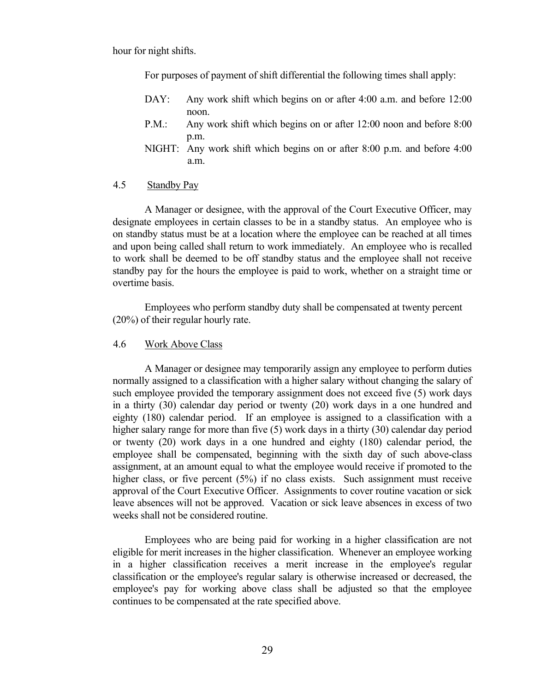hour for night shifts.

For purposes of payment of shift differential the following times shall apply:

- DAY: Any work shift which begins on or after 4:00 a.m. and before 12:00 noon.
- P.M.: Any work shift which begins on or after 12:00 noon and before 8:00 p.m.
- NIGHT: Any work shift which begins on or after 8:00 p.m. and before 4:00 a.m.

#### <span id="page-34-0"></span>4.5 Standby Pay

A Manager or designee, with the approval of the Court Executive Officer, may designate employees in certain classes to be in a standby status. An employee who is on standby status must be at a location where the employee can be reached at all times and upon being called shall return to work immediately. An employee who is recalled to work shall be deemed to be off standby status and the employee shall not receive standby pay for the hours the employee is paid to work, whether on a straight time or overtime basis.

Employees who perform standby duty shall be compensated at twenty percent (20%) of their regular hourly rate.

<span id="page-34-1"></span>4.6 Work Above Class

A Manager or designee may temporarily assign any employee to perform duties normally assigned to a classification with a higher salary without changing the salary of such employee provided the temporary assignment does not exceed five (5) work days in a thirty (30) calendar day period or twenty (20) work days in a one hundred and eighty (180) calendar period. If an employee is assigned to a classification with a higher salary range for more than five (5) work days in a thirty (30) calendar day period or twenty (20) work days in a one hundred and eighty (180) calendar period, the employee shall be compensated, beginning with the sixth day of such above-class assignment, at an amount equal to what the employee would receive if promoted to the higher class, or five percent (5%) if no class exists. Such assignment must receive approval of the Court Executive Officer. Assignments to cover routine vacation or sick leave absences will not be approved. Vacation or sick leave absences in excess of two weeks shall not be considered routine.

Employees who are being paid for working in a higher classification are not eligible for merit increases in the higher classification. Whenever an employee working in a higher classification receives a merit increase in the employee's regular classification or the employee's regular salary is otherwise increased or decreased, the employee's pay for working above class shall be adjusted so that the employee continues to be compensated at the rate specified above.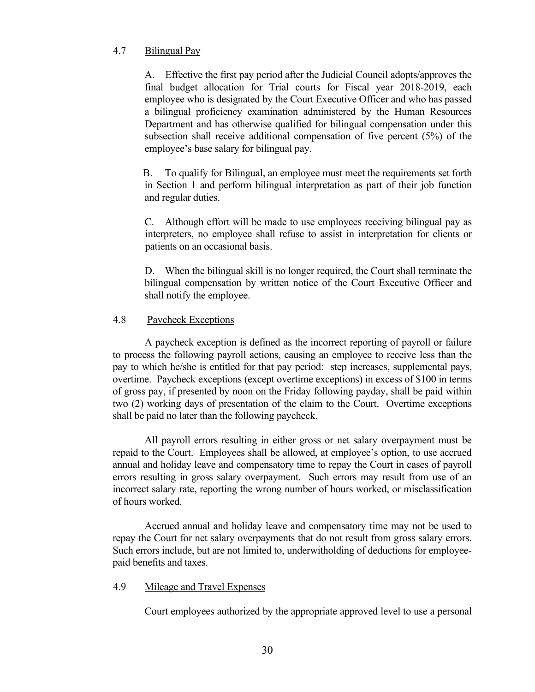# <span id="page-35-0"></span>4.7 Bilingual Pay

 A. Effective the first pay period after the Judicial Council adopts/approves the final budget allocation for Trial courts for Fiscal year 2018-2019, each employee who is designated by the Court Executive Officer and who has passed a bilingual proficiency examination administered by the Human Resources Department and has otherwise qualified for bilingual compensation under this subsection shall receive additional compensation of five percent (5%) of the employee's base salary for bilingual pay.

 B. To qualify for Bilingual, an employee must meet the requirements set forth in Section 1 and perform bilingual interpretation as part of their job function and regular duties.

C. Although effort will be made to use employees receiving bilingual pay as interpreters, no employee shall refuse to assist in interpretation for clients or patients on an occasional basis.

 D. When the bilingual skill is no longer required, the Court shall terminate the bilingual compensation by written notice of the Court Executive Officer and shall notify the employee.

# <span id="page-35-1"></span>4.8 Paycheck Exceptions

A paycheck exception is defined as the incorrect reporting of payroll or failure to process the following payroll actions, causing an employee to receive less than the pay to which he/she is entitled for that pay period: step increases, supplemental pays, overtime. Paycheck exceptions (except overtime exceptions) in excess of \$100 in terms of gross pay, if presented by noon on the Friday following payday, shall be paid within two (2) working days of presentation of the claim to the Court. Overtime exceptions shall be paid no later than the following paycheck.

All payroll errors resulting in either gross or net salary overpayment must be repaid to the Court. Employees shall be allowed, at employee's option, to use accrued annual and holiday leave and compensatory time to repay the Court in cases of payroll errors resulting in gross salary overpayment. Such errors may result from use of an incorrect salary rate, reporting the wrong number of hours worked, or misclassification of hours worked.

Accrued annual and holiday leave and compensatory time may not be used to repay the Court for net salary overpayments that do not result from gross salary errors. Such errors include, but are not limited to, underwitholding of deductions for employeepaid benefits and taxes.

# <span id="page-35-2"></span>4.9 Mileage and Travel Expenses

Court employees authorized by the appropriate approved level to use a personal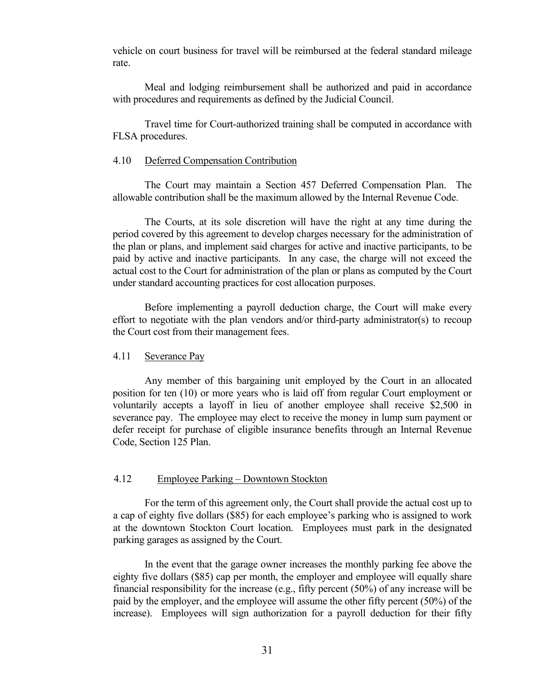vehicle on court business for travel will be reimbursed at the federal standard mileage rate.

Meal and lodging reimbursement shall be authorized and paid in accordance with procedures and requirements as defined by the Judicial Council.

Travel time for Court-authorized training shall be computed in accordance with FLSA procedures.

#### <span id="page-36-0"></span>4.10 Deferred Compensation Contribution

The Court may maintain a Section 457 Deferred Compensation Plan. The allowable contribution shall be the maximum allowed by the Internal Revenue Code.

The Courts, at its sole discretion will have the right at any time during the period covered by this agreement to develop charges necessary for the administration of the plan or plans, and implement said charges for active and inactive participants, to be paid by active and inactive participants. In any case, the charge will not exceed the actual cost to the Court for administration of the plan or plans as computed by the Court under standard accounting practices for cost allocation purposes.

Before implementing a payroll deduction charge, the Court will make every effort to negotiate with the plan vendors and/or third-party administrator(s) to recoup the Court cost from their management fees.

#### <span id="page-36-1"></span>4.11 Severance Pay

Any member of this bargaining unit employed by the Court in an allocated position for ten (10) or more years who is laid off from regular Court employment or voluntarily accepts a layoff in lieu of another employee shall receive \$2,500 in severance pay. The employee may elect to receive the money in lump sum payment or defer receipt for purchase of eligible insurance benefits through an Internal Revenue Code, Section 125 Plan.

#### <span id="page-36-2"></span>4.12 Employee Parking – Downtown Stockton

For the term of this agreement only, the Court shall provide the actual cost up to a cap of eighty five dollars (\$85) for each employee's parking who is assigned to work at the downtown Stockton Court location. Employees must park in the designated parking garages as assigned by the Court.

In the event that the garage owner increases the monthly parking fee above the eighty five dollars (\$85) cap per month, the employer and employee will equally share financial responsibility for the increase (e.g., fifty percent (50%) of any increase will be paid by the employer, and the employee will assume the other fifty percent (50%) of the increase). Employees will sign authorization for a payroll deduction for their fifty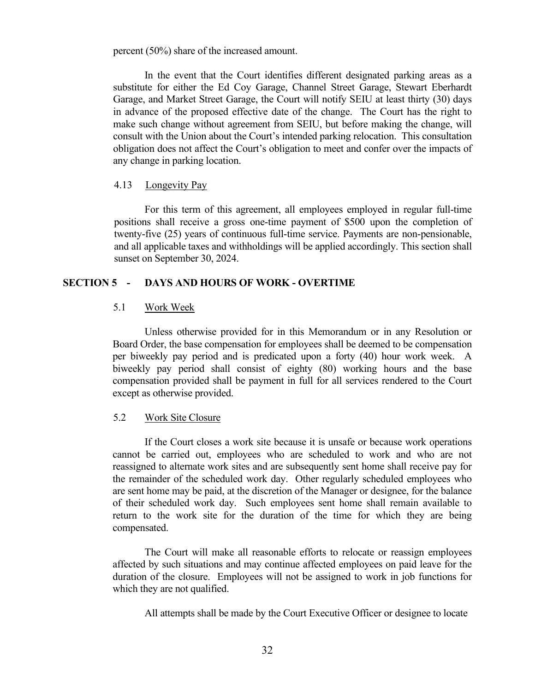percent (50%) share of the increased amount.

In the event that the Court identifies different designated parking areas as a substitute for either the Ed Coy Garage, Channel Street Garage, Stewart Eberhardt Garage, and Market Street Garage, the Court will notify SEIU at least thirty (30) days in advance of the proposed effective date of the change. The Court has the right to make such change without agreement from SEIU, but before making the change, will consult with the Union about the Court's intended parking relocation. This consultation obligation does not affect the Court's obligation to meet and confer over the impacts of any change in parking location.

#### <span id="page-37-0"></span>4.13 Longevity Pay

For this term of this agreement, all employees employed in regular full-time positions shall receive a gross one-time payment of \$500 upon the completion of twenty-five (25) years of continuous full-time service. Payments are non-pensionable, and all applicable taxes and withholdings will be applied accordingly. This section shall sunset on September 30, 2024.

# <span id="page-37-1"></span>**SECTION 5 - DAYS AND HOURS OF WORK - OVERTIME**

# <span id="page-37-2"></span>5.1 Work Week

Unless otherwise provided for in this Memorandum or in any Resolution or Board Order, the base compensation for employees shall be deemed to be compensation per biweekly pay period and is predicated upon a forty (40) hour work week. A biweekly pay period shall consist of eighty (80) working hours and the base compensation provided shall be payment in full for all services rendered to the Court except as otherwise provided.

#### <span id="page-37-3"></span>5.2 Work Site Closure

If the Court closes a work site because it is unsafe or because work operations cannot be carried out, employees who are scheduled to work and who are not reassigned to alternate work sites and are subsequently sent home shall receive pay for the remainder of the scheduled work day. Other regularly scheduled employees who are sent home may be paid, at the discretion of the Manager or designee, for the balance of their scheduled work day. Such employees sent home shall remain available to return to the work site for the duration of the time for which they are being compensated.

The Court will make all reasonable efforts to relocate or reassign employees affected by such situations and may continue affected employees on paid leave for the duration of the closure. Employees will not be assigned to work in job functions for which they are not qualified.

All attempts shall be made by the Court Executive Officer or designee to locate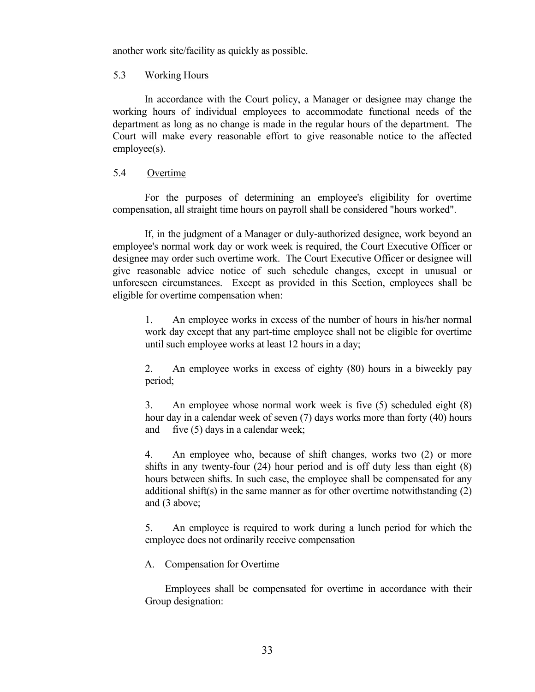another work site/facility as quickly as possible.

# <span id="page-38-0"></span>5.3 Working Hours

In accordance with the Court policy, a Manager or designee may change the working hours of individual employees to accommodate functional needs of the department as long as no change is made in the regular hours of the department. The Court will make every reasonable effort to give reasonable notice to the affected employee(s).

# <span id="page-38-1"></span>5.4 Overtime

For the purposes of determining an employee's eligibility for overtime compensation, all straight time hours on payroll shall be considered "hours worked".

If, in the judgment of a Manager or duly-authorized designee, work beyond an employee's normal work day or work week is required, the Court Executive Officer or designee may order such overtime work. The Court Executive Officer or designee will give reasonable advice notice of such schedule changes, except in unusual or unforeseen circumstances. Except as provided in this Section, employees shall be eligible for overtime compensation when:

1. An employee works in excess of the number of hours in his/her normal work day except that any part-time employee shall not be eligible for overtime until such employee works at least 12 hours in a day;

2. An employee works in excess of eighty (80) hours in a biweekly pay period;

3. An employee whose normal work week is five (5) scheduled eight (8) hour day in a calendar week of seven (7) days works more than forty (40) hours and five (5) days in a calendar week;

4. An employee who, because of shift changes, works two (2) or more shifts in any twenty-four (24) hour period and is off duty less than eight (8) hours between shifts. In such case, the employee shall be compensated for any additional shift(s) in the same manner as for other overtime notwithstanding  $(2)$ and (3 above;

5. An employee is required to work during a lunch period for which the employee does not ordinarily receive compensation

#### <span id="page-38-2"></span>A. Compensation for Overtime

Employees shall be compensated for overtime in accordance with their Group designation: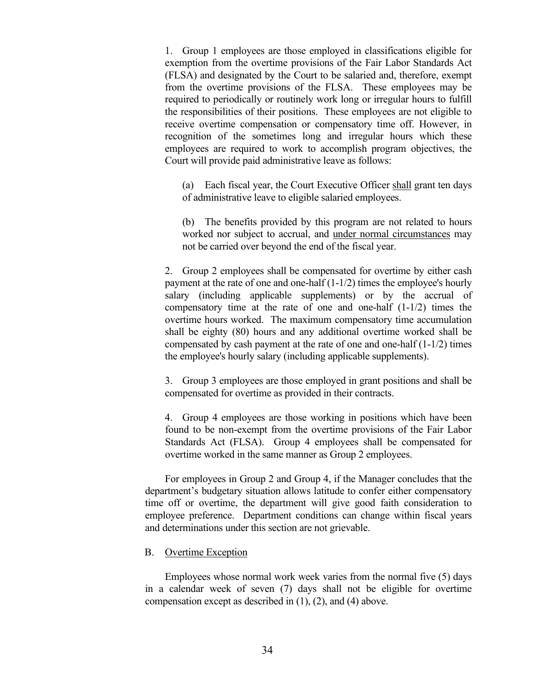1. Group 1 employees are those employed in classifications eligible for exemption from the overtime provisions of the Fair Labor Standards Act (FLSA) and designated by the Court to be salaried and, therefore, exempt from the overtime provisions of the FLSA. These employees may be required to periodically or routinely work long or irregular hours to fulfill the responsibilities of their positions. These employees are not eligible to receive overtime compensation or compensatory time off. However, in recognition of the sometimes long and irregular hours which these employees are required to work to accomplish program objectives, the Court will provide paid administrative leave as follows:

(a) Each fiscal year, the Court Executive Officer shall grant ten days of administrative leave to eligible salaried employees.

(b) The benefits provided by this program are not related to hours worked nor subject to accrual, and under normal circumstances may not be carried over beyond the end of the fiscal year.

2. Group 2 employees shall be compensated for overtime by either cash payment at the rate of one and one-half (1-1/2) times the employee's hourly salary (including applicable supplements) or by the accrual of compensatory time at the rate of one and one-half (1-1/2) times the overtime hours worked. The maximum compensatory time accumulation shall be eighty (80) hours and any additional overtime worked shall be compensated by cash payment at the rate of one and one-half (1-1/2) times the employee's hourly salary (including applicable supplements).

3. Group 3 employees are those employed in grant positions and shall be compensated for overtime as provided in their contracts.

4. Group 4 employees are those working in positions which have been found to be non-exempt from the overtime provisions of the Fair Labor Standards Act (FLSA). Group 4 employees shall be compensated for overtime worked in the same manner as Group 2 employees.

For employees in Group 2 and Group 4, if the Manager concludes that the department's budgetary situation allows latitude to confer either compensatory time off or overtime, the department will give good faith consideration to employee preference. Department conditions can change within fiscal years and determinations under this section are not grievable.

#### <span id="page-39-0"></span>B. Overtime Exception

Employees whose normal work week varies from the normal five (5) days in a calendar week of seven (7) days shall not be eligible for overtime compensation except as described in (1), (2), and (4) above.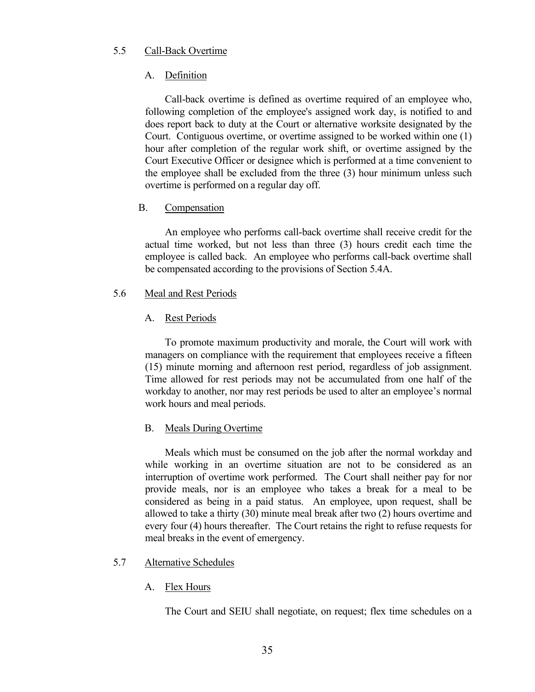# <span id="page-40-0"></span>5.5 Call-Back Overtime

# <span id="page-40-1"></span>A. Definition

Call-back overtime is defined as overtime required of an employee who, following completion of the employee's assigned work day, is notified to and does report back to duty at the Court or alternative worksite designated by the Court. Contiguous overtime, or overtime assigned to be worked within one (1) hour after completion of the regular work shift, or overtime assigned by the Court Executive Officer or designee which is performed at a time convenient to the employee shall be excluded from the three (3) hour minimum unless such overtime is performed on a regular day off.

# <span id="page-40-2"></span>B. Compensation

An employee who performs call-back overtime shall receive credit for the actual time worked, but not less than three (3) hours credit each time the employee is called back. An employee who performs call-back overtime shall be compensated according to the provisions of Section 5.4A.

# <span id="page-40-3"></span>5.6 Meal and Rest Periods

# <span id="page-40-4"></span>A. Rest Periods

To promote maximum productivity and morale, the Court will work with managers on compliance with the requirement that employees receive a fifteen (15) minute morning and afternoon rest period, regardless of job assignment. Time allowed for rest periods may not be accumulated from one half of the workday to another, nor may rest periods be used to alter an employee's normal work hours and meal periods.

# <span id="page-40-5"></span>B. Meals During Overtime

Meals which must be consumed on the job after the normal workday and while working in an overtime situation are not to be considered as an interruption of overtime work performed. The Court shall neither pay for nor provide meals, nor is an employee who takes a break for a meal to be considered as being in a paid status. An employee, upon request, shall be allowed to take a thirty (30) minute meal break after two (2) hours overtime and every four (4) hours thereafter. The Court retains the right to refuse requests for meal breaks in the event of emergency.

# <span id="page-40-6"></span>5.7 Alternative Schedules

# <span id="page-40-7"></span>A. Flex Hours

The Court and SEIU shall negotiate, on request; flex time schedules on a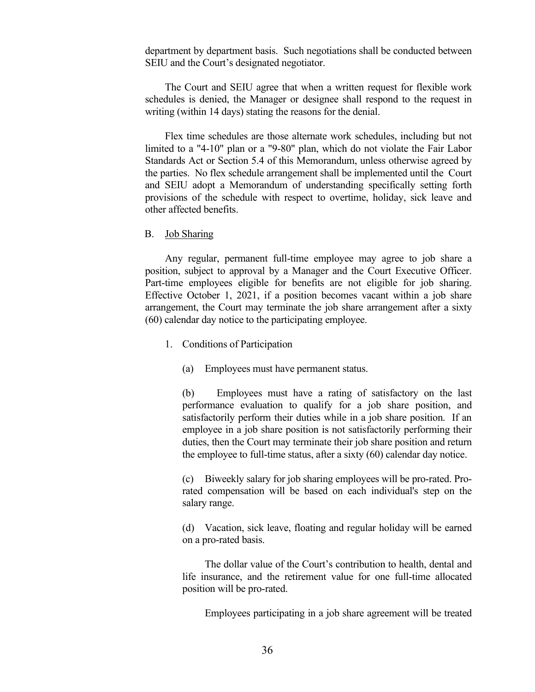department by department basis. Such negotiations shall be conducted between SEIU and the Court's designated negotiator.

The Court and SEIU agree that when a written request for flexible work schedules is denied, the Manager or designee shall respond to the request in writing (within 14 days) stating the reasons for the denial.

Flex time schedules are those alternate work schedules, including but not limited to a "4-10" plan or a "9-80" plan, which do not violate the Fair Labor Standards Act or Section 5.4 of this Memorandum, unless otherwise agreed by the parties. No flex schedule arrangement shall be implemented until the Court and SEIU adopt a Memorandum of understanding specifically setting forth provisions of the schedule with respect to overtime, holiday, sick leave and other affected benefits.

<span id="page-41-0"></span>B. Job Sharing

Any regular, permanent full-time employee may agree to job share a position, subject to approval by a Manager and the Court Executive Officer. Part-time employees eligible for benefits are not eligible for job sharing. Effective October 1, 2021, if a position becomes vacant within a job share arrangement, the Court may terminate the job share arrangement after a sixty (60) calendar day notice to the participating employee.

- 1. Conditions of Participation
	- (a) Employees must have permanent status.

(b) Employees must have a rating of satisfactory on the last performance evaluation to qualify for a job share position, and satisfactorily perform their duties while in a job share position. If an employee in a job share position is not satisfactorily performing their duties, then the Court may terminate their job share position and return the employee to full-time status, after a sixty (60) calendar day notice.

(c) Biweekly salary for job sharing employees will be pro-rated. Prorated compensation will be based on each individual's step on the salary range.

(d) Vacation, sick leave, floating and regular holiday will be earned on a pro-rated basis.

The dollar value of the Court's contribution to health, dental and life insurance, and the retirement value for one full-time allocated position will be pro-rated.

Employees participating in a job share agreement will be treated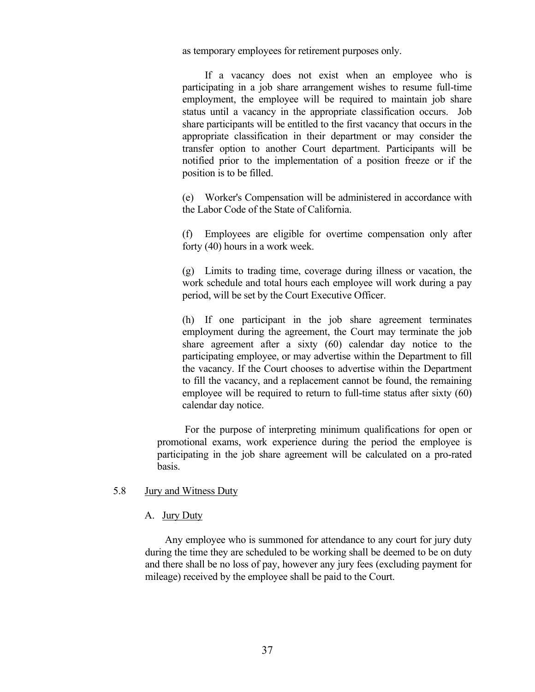as temporary employees for retirement purposes only.

 If a vacancy does not exist when an employee who is participating in a job share arrangement wishes to resume full-time employment, the employee will be required to maintain job share status until a vacancy in the appropriate classification occurs. Job share participants will be entitled to the first vacancy that occurs in the appropriate classification in their department or may consider the transfer option to another Court department. Participants will be notified prior to the implementation of a position freeze or if the position is to be filled.

(e) Worker's Compensation will be administered in accordance with the Labor Code of the State of California.

(f) Employees are eligible for overtime compensation only after forty (40) hours in a work week.

(g) Limits to trading time, coverage during illness or vacation, the work schedule and total hours each employee will work during a pay period, will be set by the Court Executive Officer.

(h) If one participant in the job share agreement terminates employment during the agreement, the Court may terminate the job share agreement after a sixty (60) calendar day notice to the participating employee, or may advertise within the Department to fill the vacancy. If the Court chooses to advertise within the Department to fill the vacancy, and a replacement cannot be found, the remaining employee will be required to return to full-time status after sixty (60) calendar day notice.

For the purpose of interpreting minimum qualifications for open or promotional exams, work experience during the period the employee is participating in the job share agreement will be calculated on a pro-rated basis.

#### <span id="page-42-0"></span>5.8 Jury and Witness Duty

# <span id="page-42-1"></span>A. Jury Duty

Any employee who is summoned for attendance to any court for jury duty during the time they are scheduled to be working shall be deemed to be on duty and there shall be no loss of pay, however any jury fees (excluding payment for mileage) received by the employee shall be paid to the Court.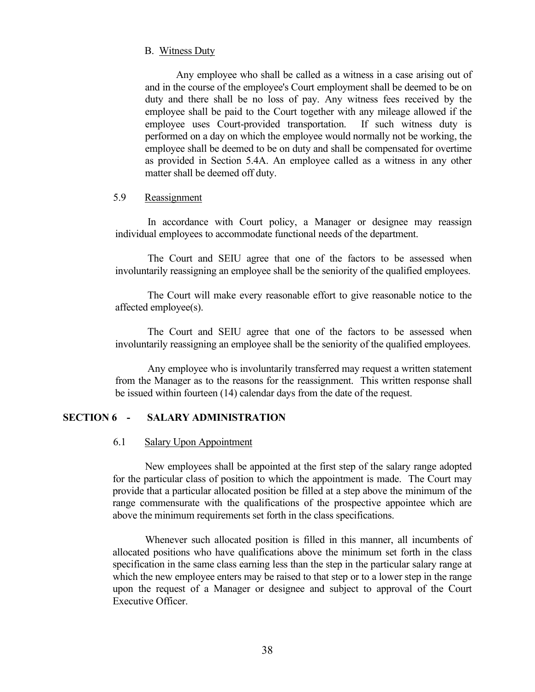#### <span id="page-43-0"></span>B. Witness Duty

Any employee who shall be called as a witness in a case arising out of and in the course of the employee's Court employment shall be deemed to be on duty and there shall be no loss of pay. Any witness fees received by the employee shall be paid to the Court together with any mileage allowed if the employee uses Court-provided transportation. If such witness duty is performed on a day on which the employee would normally not be working, the employee shall be deemed to be on duty and shall be compensated for overtime as provided in Section 5.4A. An employee called as a witness in any other matter shall be deemed off duty.

# <span id="page-43-1"></span>5.9 Reassignment

In accordance with Court policy, a Manager or designee may reassign individual employees to accommodate functional needs of the department.

The Court and SEIU agree that one of the factors to be assessed when involuntarily reassigning an employee shall be the seniority of the qualified employees.

The Court will make every reasonable effort to give reasonable notice to the affected employee(s).

The Court and SEIU agree that one of the factors to be assessed when involuntarily reassigning an employee shall be the seniority of the qualified employees.

Any employee who is involuntarily transferred may request a written statement from the Manager as to the reasons for the reassignment. This written response shall be issued within fourteen (14) calendar days from the date of the request.

#### <span id="page-43-2"></span>**SECTION 6 - SALARY ADMINISTRATION**

#### <span id="page-43-3"></span>6.1 Salary Upon Appointment

New employees shall be appointed at the first step of the salary range adopted for the particular class of position to which the appointment is made. The Court may provide that a particular allocated position be filled at a step above the minimum of the range commensurate with the qualifications of the prospective appointee which are above the minimum requirements set forth in the class specifications.

Whenever such allocated position is filled in this manner, all incumbents of allocated positions who have qualifications above the minimum set forth in the class specification in the same class earning less than the step in the particular salary range at which the new employee enters may be raised to that step or to a lower step in the range upon the request of a Manager or designee and subject to approval of the Court Executive Officer.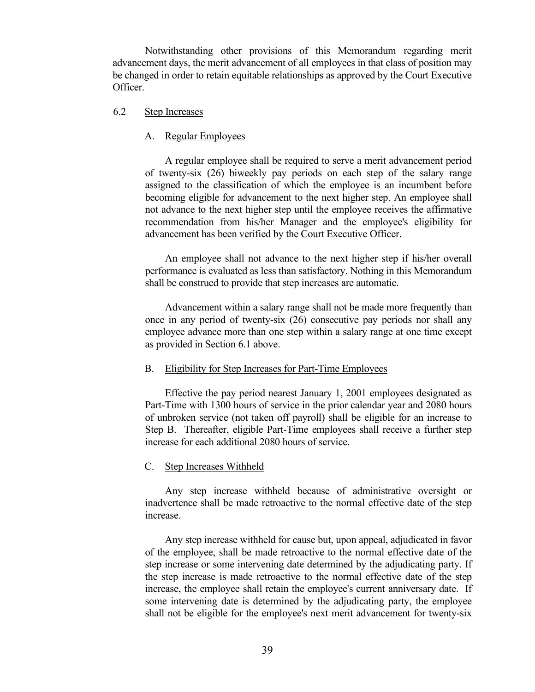Notwithstanding other provisions of this Memorandum regarding merit advancement days, the merit advancement of all employees in that class of position may be changed in order to retain equitable relationships as approved by the Court Executive Officer.

# <span id="page-44-0"></span>6.2 Step Increases

#### <span id="page-44-1"></span>A. Regular Employees

A regular employee shall be required to serve a merit advancement period of twenty-six (26) biweekly pay periods on each step of the salary range assigned to the classification of which the employee is an incumbent before becoming eligible for advancement to the next higher step. An employee shall not advance to the next higher step until the employee receives the affirmative recommendation from his/her Manager and the employee's eligibility for advancement has been verified by the Court Executive Officer.

An employee shall not advance to the next higher step if his/her overall performance is evaluated as less than satisfactory. Nothing in this Memorandum shall be construed to provide that step increases are automatic.

Advancement within a salary range shall not be made more frequently than once in any period of twenty-six (26) consecutive pay periods nor shall any employee advance more than one step within a salary range at one time except as provided in Section 6.1 above.

#### <span id="page-44-2"></span>B. Eligibility for Step Increases for Part-Time Employees

Effective the pay period nearest January 1, 2001 employees designated as Part-Time with 1300 hours of service in the prior calendar year and 2080 hours of unbroken service (not taken off payroll) shall be eligible for an increase to Step B. Thereafter, eligible Part-Time employees shall receive a further step increase for each additional 2080 hours of service.

#### <span id="page-44-3"></span>C. Step Increases Withheld

Any step increase withheld because of administrative oversight or inadvertence shall be made retroactive to the normal effective date of the step increase.

Any step increase withheld for cause but, upon appeal, adjudicated in favor of the employee, shall be made retroactive to the normal effective date of the step increase or some intervening date determined by the adjudicating party. If the step increase is made retroactive to the normal effective date of the step increase, the employee shall retain the employee's current anniversary date. If some intervening date is determined by the adjudicating party, the employee shall not be eligible for the employee's next merit advancement for twenty-six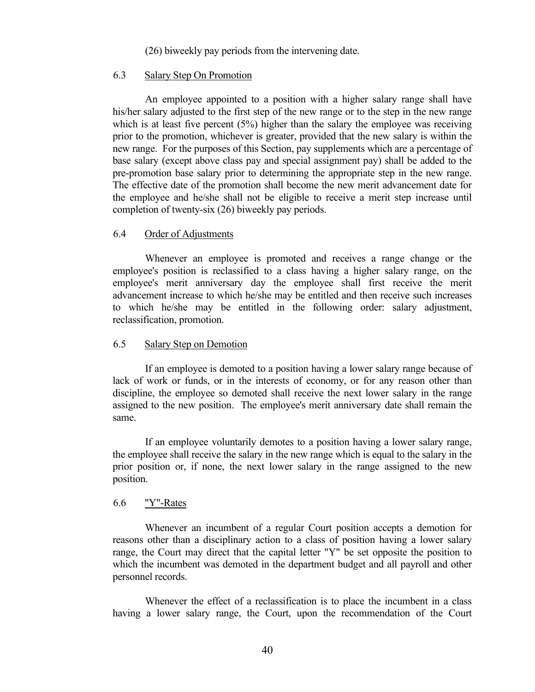(26) biweekly pay periods from the intervening date.

#### <span id="page-45-0"></span>6.3 Salary Step On Promotion

An employee appointed to a position with a higher salary range shall have his/her salary adjusted to the first step of the new range or to the step in the new range which is at least five percent  $(5%)$  higher than the salary the employee was receiving prior to the promotion, whichever is greater, provided that the new salary is within the new range. For the purposes of this Section, pay supplements which are a percentage of base salary (except above class pay and special assignment pay) shall be added to the pre-promotion base salary prior to determining the appropriate step in the new range. The effective date of the promotion shall become the new merit advancement date for the employee and he/she shall not be eligible to receive a merit step increase until completion of twenty-six (26) biweekly pay periods.

#### <span id="page-45-1"></span>6.4 Order of Adjustments

Whenever an employee is promoted and receives a range change or the employee's position is reclassified to a class having a higher salary range, on the employee's merit anniversary day the employee shall first receive the merit advancement increase to which he/she may be entitled and then receive such increases to which he/she may be entitled in the following order: salary adjustment, reclassification, promotion.

#### <span id="page-45-2"></span>6.5 Salary Step on Demotion

If an employee is demoted to a position having a lower salary range because of lack of work or funds, or in the interests of economy, or for any reason other than discipline, the employee so demoted shall receive the next lower salary in the range assigned to the new position. The employee's merit anniversary date shall remain the same.

If an employee voluntarily demotes to a position having a lower salary range, the employee shall receive the salary in the new range which is equal to the salary in the prior position or, if none, the next lower salary in the range assigned to the new position.

#### <span id="page-45-3"></span>6.6 "Y"-Rates

Whenever an incumbent of a regular Court position accepts a demotion for reasons other than a disciplinary action to a class of position having a lower salary range, the Court may direct that the capital letter "Y" be set opposite the position to which the incumbent was demoted in the department budget and all payroll and other personnel records.

Whenever the effect of a reclassification is to place the incumbent in a class having a lower salary range, the Court, upon the recommendation of the Court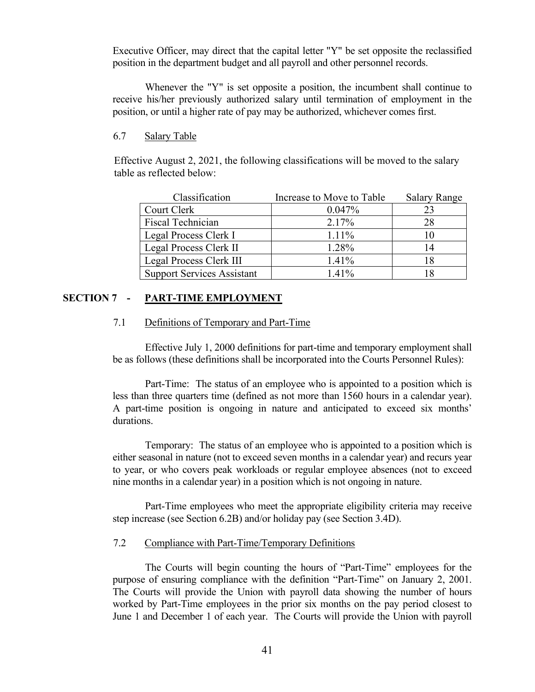Executive Officer, may direct that the capital letter "Y" be set opposite the reclassified position in the department budget and all payroll and other personnel records.

Whenever the "Y" is set opposite a position, the incumbent shall continue to receive his/her previously authorized salary until termination of employment in the position, or until a higher rate of pay may be authorized, whichever comes first.

# <span id="page-46-0"></span>6.7 Salary Table

Effective August 2, 2021, the following classifications will be moved to the salary table as reflected below:

| Classification                    | Increase to Move to Table | <b>Salary Range</b> |
|-----------------------------------|---------------------------|---------------------|
| Court Clerk                       | 0.047%                    | 23                  |
| <b>Fiscal Technician</b>          | 2.17%                     | 28                  |
| Legal Process Clerk I             | $1.11\%$                  |                     |
| Legal Process Clerk II            | 1.28%                     | 14                  |
| Legal Process Clerk III           | $1.41\%$                  |                     |
| <b>Support Services Assistant</b> | $1.41\%$                  |                     |

# <span id="page-46-1"></span>**SECTION 7 - PART-TIME EMPLOYMENT**

# <span id="page-46-2"></span>7.1 Definitions of Temporary and Part-Time

Effective July 1, 2000 definitions for part-time and temporary employment shall be as follows (these definitions shall be incorporated into the Courts Personnel Rules):

Part-Time: The status of an employee who is appointed to a position which is less than three quarters time (defined as not more than 1560 hours in a calendar year). A part-time position is ongoing in nature and anticipated to exceed six months' durations.

Temporary: The status of an employee who is appointed to a position which is either seasonal in nature (not to exceed seven months in a calendar year) and recurs year to year, or who covers peak workloads or regular employee absences (not to exceed nine months in a calendar year) in a position which is not ongoing in nature.

Part-Time employees who meet the appropriate eligibility criteria may receive step increase (see Section 6.2B) and/or holiday pay (see Section 3.4D).

# <span id="page-46-3"></span>7.2 Compliance with Part-Time/Temporary Definitions

The Courts will begin counting the hours of "Part-Time" employees for the purpose of ensuring compliance with the definition "Part-Time" on January 2, 2001. The Courts will provide the Union with payroll data showing the number of hours worked by Part-Time employees in the prior six months on the pay period closest to June 1 and December 1 of each year. The Courts will provide the Union with payroll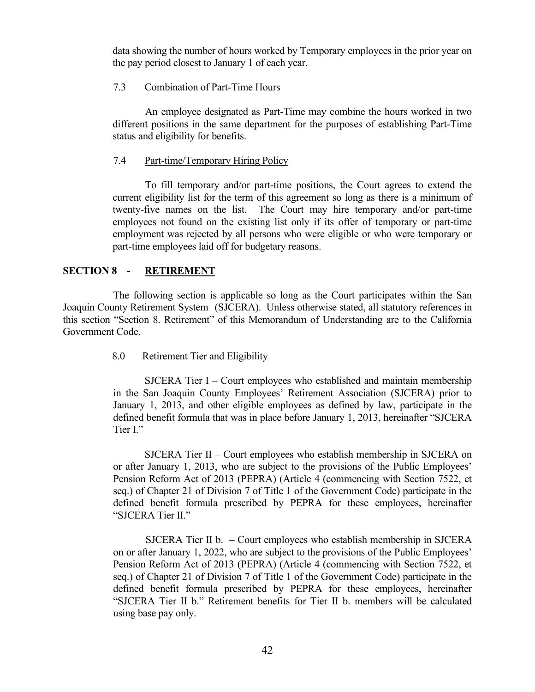data showing the number of hours worked by Temporary employees in the prior year on the pay period closest to January 1 of each year.

# <span id="page-47-0"></span>7.3 Combination of Part-Time Hours

An employee designated as Part-Time may combine the hours worked in two different positions in the same department for the purposes of establishing Part-Time status and eligibility for benefits.

# <span id="page-47-1"></span>7.4 Part-time/Temporary Hiring Policy

To fill temporary and/or part-time positions, the Court agrees to extend the current eligibility list for the term of this agreement so long as there is a minimum of twenty-five names on the list. The Court may hire temporary and/or part-time employees not found on the existing list only if its offer of temporary or part-time employment was rejected by all persons who were eligible or who were temporary or part-time employees laid off for budgetary reasons.

# <span id="page-47-2"></span>**SECTION 8 - RETIREMENT**

The following section is applicable so long as the Court participates within the San Joaquin County Retirement System (SJCERA). Unless otherwise stated, all statutory references in this section "Section 8. Retirement" of this Memorandum of Understanding are to the California Government Code.

# <span id="page-47-3"></span>8.0 Retirement Tier and Eligibility

SJCERA Tier I – Court employees who established and maintain membership in the San Joaquin County Employees' Retirement Association (SJCERA) prior to January 1, 2013, and other eligible employees as defined by law, participate in the defined benefit formula that was in place before January 1, 2013, hereinafter "SJCERA Tier I."

SJCERA Tier II – Court employees who establish membership in SJCERA on or after January 1, 2013, who are subject to the provisions of the Public Employees' Pension Reform Act of 2013 (PEPRA) (Article 4 (commencing with Section 7522, et seq.) of Chapter 21 of Division 7 of Title 1 of the Government Code) participate in the defined benefit formula prescribed by PEPRA for these employees, hereinafter "SJCERA Tier II."

 SJCERA Tier II b. – Court employees who establish membership in SJCERA on or after January 1, 2022, who are subject to the provisions of the Public Employees' Pension Reform Act of 2013 (PEPRA) (Article 4 (commencing with Section 7522, et seq.) of Chapter 21 of Division 7 of Title 1 of the Government Code) participate in the defined benefit formula prescribed by PEPRA for these employees, hereinafter "SJCERA Tier II b." Retirement benefits for Tier II b. members will be calculated using base pay only.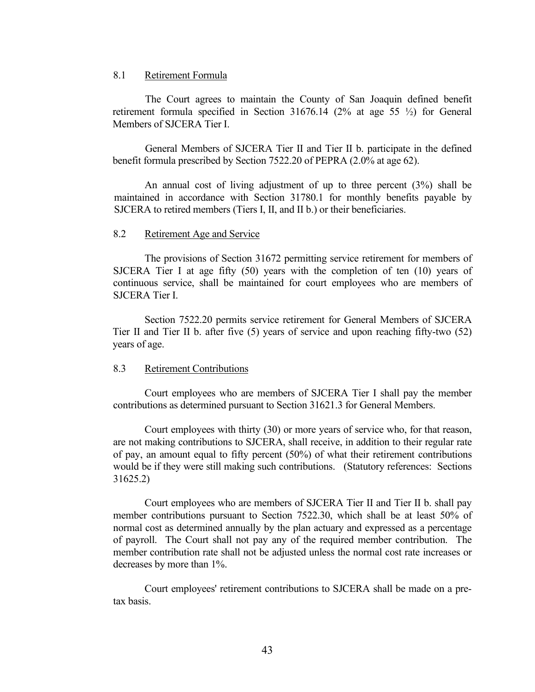#### <span id="page-48-0"></span>8.1 Retirement Formula

The Court agrees to maintain the County of San Joaquin defined benefit retirement formula specified in Section 31676.14 (2% at age 55 ½) for General Members of SJCERA Tier I.

General Members of SJCERA Tier II and Tier II b. participate in the defined benefit formula prescribed by Section 7522.20 of PEPRA (2.0% at age 62).

An annual cost of living adjustment of up to three percent (3%) shall be maintained in accordance with Section 31780.1 for monthly benefits payable by SJCERA to retired members (Tiers I, II, and II b.) or their beneficiaries.

#### <span id="page-48-1"></span>8.2 Retirement Age and Service

The provisions of Section 31672 permitting service retirement for members of SJCERA Tier I at age fifty (50) years with the completion of ten (10) years of continuous service, shall be maintained for court employees who are members of SJCERA Tier I.

Section 7522.20 permits service retirement for General Members of SJCERA Tier II and Tier II b. after five (5) years of service and upon reaching fifty-two (52) years of age.

#### <span id="page-48-2"></span>8.3 Retirement Contributions

Court employees who are members of SJCERA Tier I shall pay the member contributions as determined pursuant to Section 31621.3 for General Members.

Court employees with thirty (30) or more years of service who, for that reason, are not making contributions to SJCERA, shall receive, in addition to their regular rate of pay, an amount equal to fifty percent (50%) of what their retirement contributions would be if they were still making such contributions. (Statutory references: Sections 31625.2)

Court employees who are members of SJCERA Tier II and Tier II b. shall pay member contributions pursuant to Section 7522.30, which shall be at least 50% of normal cost as determined annually by the plan actuary and expressed as a percentage of payroll. The Court shall not pay any of the required member contribution. The member contribution rate shall not be adjusted unless the normal cost rate increases or decreases by more than 1%.

Court employees' retirement contributions to SJCERA shall be made on a pretax basis.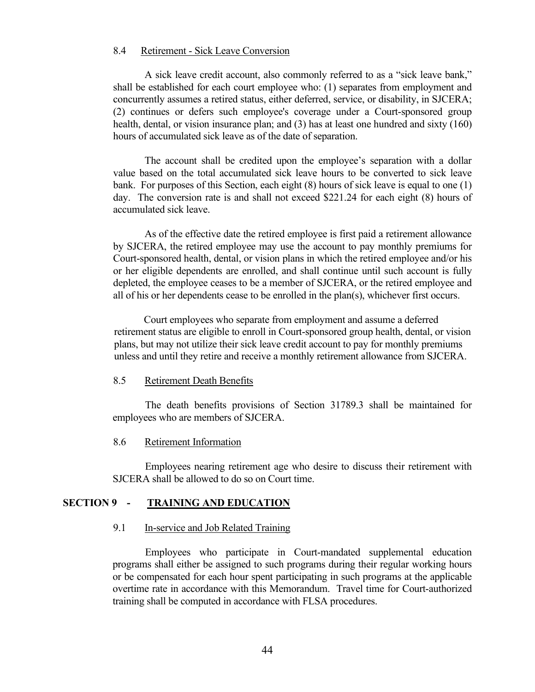#### <span id="page-49-0"></span>8.4 Retirement - Sick Leave Conversion

A sick leave credit account, also commonly referred to as a "sick leave bank," shall be established for each court employee who: (1) separates from employment and concurrently assumes a retired status, either deferred, service, or disability, in SJCERA; (2) continues or defers such employee's coverage under a Court-sponsored group health, dental, or vision insurance plan; and (3) has at least one hundred and sixty (160) hours of accumulated sick leave as of the date of separation.

The account shall be credited upon the employee's separation with a dollar value based on the total accumulated sick leave hours to be converted to sick leave bank. For purposes of this Section, each eight (8) hours of sick leave is equal to one (1) day. The conversion rate is and shall not exceed \$221.24 for each eight (8) hours of accumulated sick leave.

As of the effective date the retired employee is first paid a retirement allowance by SJCERA, the retired employee may use the account to pay monthly premiums for Court-sponsored health, dental, or vision plans in which the retired employee and/or his or her eligible dependents are enrolled, and shall continue until such account is fully depleted, the employee ceases to be a member of SJCERA, or the retired employee and all of his or her dependents cease to be enrolled in the plan(s), whichever first occurs.

 Court employees who separate from employment and assume a deferred retirement status are eligible to enroll in Court-sponsored group health, dental, or vision plans, but may not utilize their sick leave credit account to pay for monthly premiums unless and until they retire and receive a monthly retirement allowance from SJCERA.

#### <span id="page-49-1"></span>8.5 Retirement Death Benefits

The death benefits provisions of Section 31789.3 shall be maintained for employees who are members of SJCERA.

# <span id="page-49-2"></span>8.6 Retirement Information

Employees nearing retirement age who desire to discuss their retirement with SJCERA shall be allowed to do so on Court time.

#### <span id="page-49-3"></span>**SECTION 9 - TRAINING AND EDUCATION**

#### <span id="page-49-4"></span>9.1 In-service and Job Related Training

Employees who participate in Court-mandated supplemental education programs shall either be assigned to such programs during their regular working hours or be compensated for each hour spent participating in such programs at the applicable overtime rate in accordance with this Memorandum. Travel time for Court-authorized training shall be computed in accordance with FLSA procedures.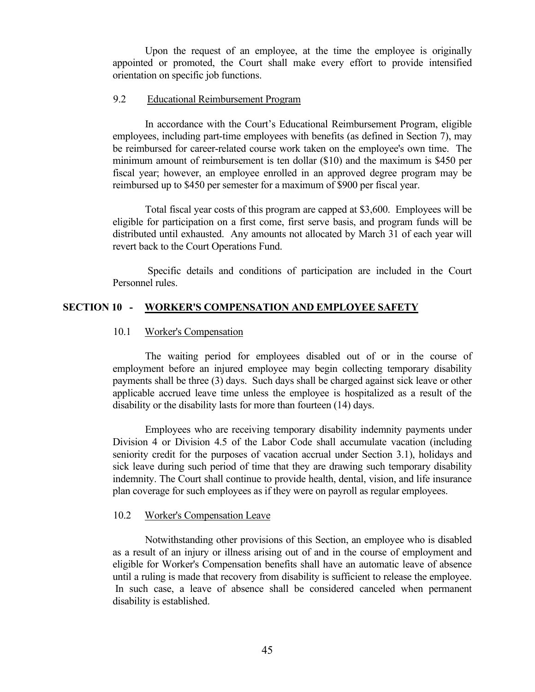Upon the request of an employee, at the time the employee is originally appointed or promoted, the Court shall make every effort to provide intensified orientation on specific job functions.

# <span id="page-50-0"></span>9.2 Educational Reimbursement Program

In accordance with the Court's Educational Reimbursement Program, eligible employees, including part-time employees with benefits (as defined in Section 7), may be reimbursed for career-related course work taken on the employee's own time. The minimum amount of reimbursement is ten dollar (\$10) and the maximum is \$450 per fiscal year; however, an employee enrolled in an approved degree program may be reimbursed up to \$450 per semester for a maximum of \$900 per fiscal year.

Total fiscal year costs of this program are capped at \$3,600. Employees will be eligible for participation on a first come, first serve basis, and program funds will be distributed until exhausted. Any amounts not allocated by March 31 of each year will revert back to the Court Operations Fund.

Specific details and conditions of participation are included in the Court Personnel rules.

# <span id="page-50-1"></span>**SECTION 10 - WORKER'S COMPENSATION AND EMPLOYEE SAFETY**

# <span id="page-50-2"></span>10.1 Worker's Compensation

The waiting period for employees disabled out of or in the course of employment before an injured employee may begin collecting temporary disability payments shall be three (3) days. Such days shall be charged against sick leave or other applicable accrued leave time unless the employee is hospitalized as a result of the disability or the disability lasts for more than fourteen (14) days.

Employees who are receiving temporary disability indemnity payments under Division 4 or Division 4.5 of the Labor Code shall accumulate vacation (including seniority credit for the purposes of vacation accrual under Section 3.1), holidays and sick leave during such period of time that they are drawing such temporary disability indemnity. The Court shall continue to provide health, dental, vision, and life insurance plan coverage for such employees as if they were on payroll as regular employees.

# <span id="page-50-3"></span>10.2 Worker's Compensation Leave

Notwithstanding other provisions of this Section, an employee who is disabled as a result of an injury or illness arising out of and in the course of employment and eligible for Worker's Compensation benefits shall have an automatic leave of absence until a ruling is made that recovery from disability is sufficient to release the employee. In such case, a leave of absence shall be considered canceled when permanent disability is established.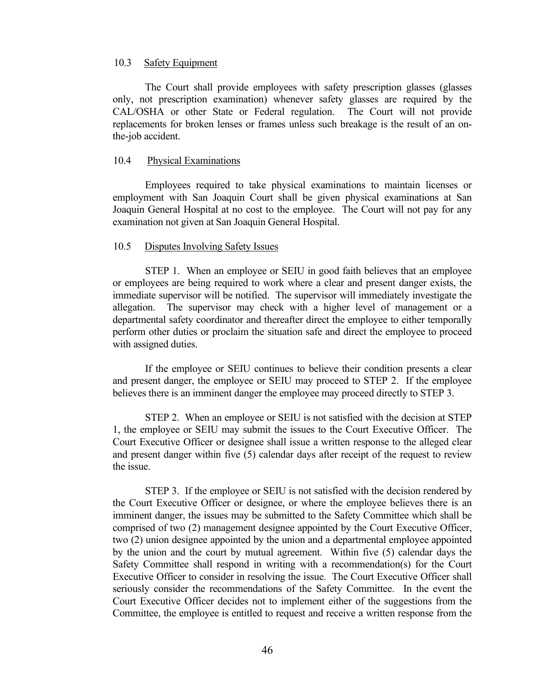# <span id="page-51-0"></span>10.3 Safety Equipment

The Court shall provide employees with safety prescription glasses (glasses only, not prescription examination) whenever safety glasses are required by the CAL/OSHA or other State or Federal regulation. The Court will not provide replacements for broken lenses or frames unless such breakage is the result of an onthe-job accident.

#### <span id="page-51-1"></span>10.4 Physical Examinations

Employees required to take physical examinations to maintain licenses or employment with San Joaquin Court shall be given physical examinations at San Joaquin General Hospital at no cost to the employee. The Court will not pay for any examination not given at San Joaquin General Hospital.

#### <span id="page-51-2"></span>10.5 Disputes Involving Safety Issues

STEP 1. When an employee or SEIU in good faith believes that an employee or employees are being required to work where a clear and present danger exists, the immediate supervisor will be notified. The supervisor will immediately investigate the allegation. The supervisor may check with a higher level of management or a departmental safety coordinator and thereafter direct the employee to either temporally perform other duties or proclaim the situation safe and direct the employee to proceed with assigned duties.

If the employee or SEIU continues to believe their condition presents a clear and present danger, the employee or SEIU may proceed to STEP 2. If the employee believes there is an imminent danger the employee may proceed directly to STEP 3.

STEP 2. When an employee or SEIU is not satisfied with the decision at STEP 1, the employee or SEIU may submit the issues to the Court Executive Officer. The Court Executive Officer or designee shall issue a written response to the alleged clear and present danger within five (5) calendar days after receipt of the request to review the issue.

STEP 3. If the employee or SEIU is not satisfied with the decision rendered by the Court Executive Officer or designee, or where the employee believes there is an imminent danger, the issues may be submitted to the Safety Committee which shall be comprised of two (2) management designee appointed by the Court Executive Officer, two (2) union designee appointed by the union and a departmental employee appointed by the union and the court by mutual agreement. Within five (5) calendar days the Safety Committee shall respond in writing with a recommendation(s) for the Court Executive Officer to consider in resolving the issue. The Court Executive Officer shall seriously consider the recommendations of the Safety Committee. In the event the Court Executive Officer decides not to implement either of the suggestions from the Committee, the employee is entitled to request and receive a written response from the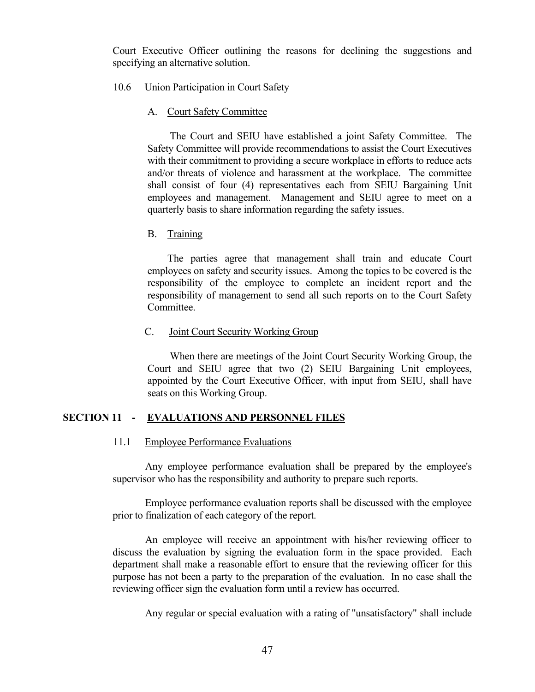Court Executive Officer outlining the reasons for declining the suggestions and specifying an alternative solution.

#### <span id="page-52-0"></span>10.6 Union Participation in Court Safety

#### <span id="page-52-1"></span>A. Court Safety Committee

The Court and SEIU have established a joint Safety Committee. The Safety Committee will provide recommendations to assist the Court Executives with their commitment to providing a secure workplace in efforts to reduce acts and/or threats of violence and harassment at the workplace. The committee shall consist of four (4) representatives each from SEIU Bargaining Unit employees and management. Management and SEIU agree to meet on a quarterly basis to share information regarding the safety issues.

#### <span id="page-52-2"></span>B. Training

 The parties agree that management shall train and educate Court employees on safety and security issues. Among the topics to be covered is the responsibility of the employee to complete an incident report and the responsibility of management to send all such reports on to the Court Safety Committee.

# <span id="page-52-3"></span>C. Joint Court Security Working Group

When there are meetings of the Joint Court Security Working Group, the Court and SEIU agree that two (2) SEIU Bargaining Unit employees, appointed by the Court Executive Officer, with input from SEIU, shall have seats on this Working Group.

# <span id="page-52-4"></span>**SECTION 11 - EVALUATIONS AND PERSONNEL FILES**

#### <span id="page-52-5"></span>11.1 Employee Performance Evaluations

Any employee performance evaluation shall be prepared by the employee's supervisor who has the responsibility and authority to prepare such reports.

Employee performance evaluation reports shall be discussed with the employee prior to finalization of each category of the report.

An employee will receive an appointment with his/her reviewing officer to discuss the evaluation by signing the evaluation form in the space provided. Each department shall make a reasonable effort to ensure that the reviewing officer for this purpose has not been a party to the preparation of the evaluation. In no case shall the reviewing officer sign the evaluation form until a review has occurred.

Any regular or special evaluation with a rating of "unsatisfactory" shall include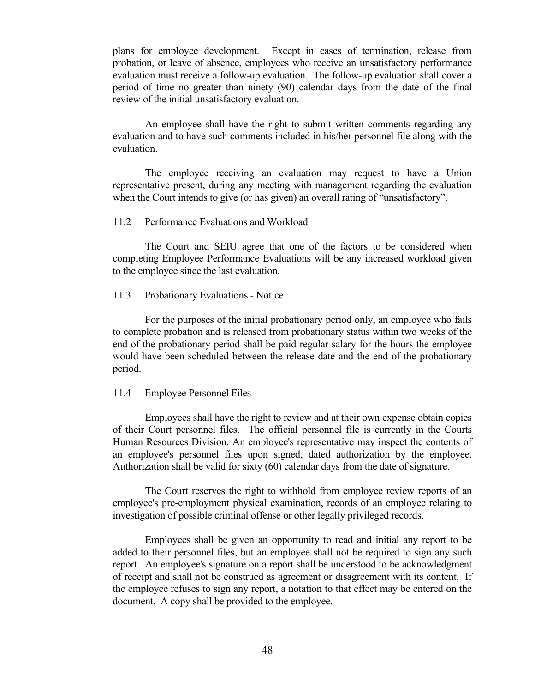plans for employee development. Except in cases of termination, release from probation, or leave of absence, employees who receive an unsatisfactory performance evaluation must receive a follow-up evaluation. The follow-up evaluation shall cover a period of time no greater than ninety (90) calendar days from the date of the final review of the initial unsatisfactory evaluation.

An employee shall have the right to submit written comments regarding any evaluation and to have such comments included in his/her personnel file along with the evaluation.

The employee receiving an evaluation may request to have a Union representative present, during any meeting with management regarding the evaluation when the Court intends to give (or has given) an overall rating of "unsatisfactory".

#### <span id="page-53-0"></span>11.2 Performance Evaluations and Workload

The Court and SEIU agree that one of the factors to be considered when completing Employee Performance Evaluations will be any increased workload given to the employee since the last evaluation.

#### <span id="page-53-1"></span>11.3 Probationary Evaluations - Notice

For the purposes of the initial probationary period only, an employee who fails to complete probation and is released from probationary status within two weeks of the end of the probationary period shall be paid regular salary for the hours the employee would have been scheduled between the release date and the end of the probationary period.

#### <span id="page-53-2"></span>11.4 Employee Personnel Files

Employees shall have the right to review and at their own expense obtain copies of their Court personnel files. The official personnel file is currently in the Courts Human Resources Division. An employee's representative may inspect the contents of an employee's personnel files upon signed, dated authorization by the employee. Authorization shall be valid for sixty (60) calendar days from the date of signature.

The Court reserves the right to withhold from employee review reports of an employee's pre-employment physical examination, records of an employee relating to investigation of possible criminal offense or other legally privileged records.

Employees shall be given an opportunity to read and initial any report to be added to their personnel files, but an employee shall not be required to sign any such report. An employee's signature on a report shall be understood to be acknowledgment of receipt and shall not be construed as agreement or disagreement with its content. If the employee refuses to sign any report, a notation to that effect may be entered on the document. A copy shall be provided to the employee.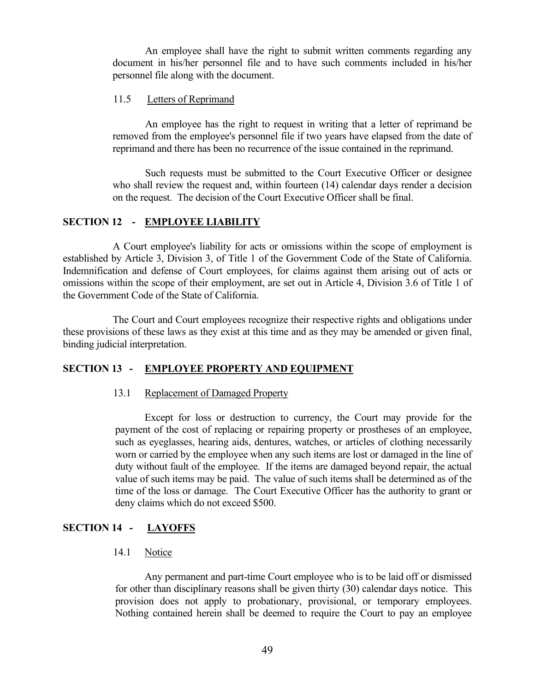An employee shall have the right to submit written comments regarding any document in his/her personnel file and to have such comments included in his/her personnel file along with the document.

# <span id="page-54-0"></span>11.5 Letters of Reprimand

An employee has the right to request in writing that a letter of reprimand be removed from the employee's personnel file if two years have elapsed from the date of reprimand and there has been no recurrence of the issue contained in the reprimand.

Such requests must be submitted to the Court Executive Officer or designee who shall review the request and, within fourteen (14) calendar days render a decision on the request. The decision of the Court Executive Officer shall be final.

# <span id="page-54-1"></span>**SECTION 12 - EMPLOYEE LIABILITY**

A Court employee's liability for acts or omissions within the scope of employment is established by Article 3, Division 3, of Title 1 of the Government Code of the State of California. Indemnification and defense of Court employees, for claims against them arising out of acts or omissions within the scope of their employment, are set out in Article 4, Division 3.6 of Title 1 of the Government Code of the State of California.

The Court and Court employees recognize their respective rights and obligations under these provisions of these laws as they exist at this time and as they may be amended or given final, binding judicial interpretation.

# <span id="page-54-2"></span>**SECTION 13 - EMPLOYEE PROPERTY AND EQUIPMENT**

# <span id="page-54-3"></span>13.1 Replacement of Damaged Property

Except for loss or destruction to currency, the Court may provide for the payment of the cost of replacing or repairing property or prostheses of an employee, such as eyeglasses, hearing aids, dentures, watches, or articles of clothing necessarily worn or carried by the employee when any such items are lost or damaged in the line of duty without fault of the employee. If the items are damaged beyond repair, the actual value of such items may be paid. The value of such items shall be determined as of the time of the loss or damage. The Court Executive Officer has the authority to grant or deny claims which do not exceed \$500.

# <span id="page-54-4"></span>**SECTION 14 - LAYOFFS**

# <span id="page-54-5"></span>14.1 Notice

Any permanent and part-time Court employee who is to be laid off or dismissed for other than disciplinary reasons shall be given thirty (30) calendar days notice. This provision does not apply to probationary, provisional, or temporary employees. Nothing contained herein shall be deemed to require the Court to pay an employee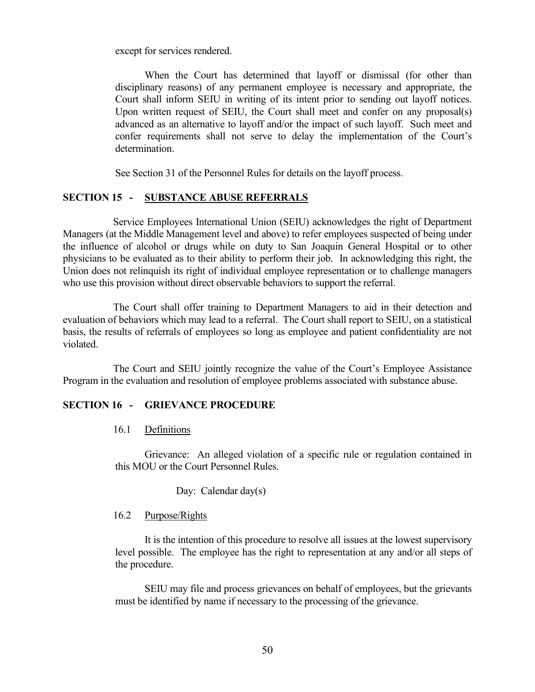except for services rendered.

When the Court has determined that layoff or dismissal (for other than disciplinary reasons) of any permanent employee is necessary and appropriate, the Court shall inform SEIU in writing of its intent prior to sending out layoff notices. Upon written request of SEIU, the Court shall meet and confer on any proposal(s) advanced as an alternative to layoff and/or the impact of such layoff. Such meet and confer requirements shall not serve to delay the implementation of the Court's determination.

See Section 31 of the Personnel Rules for details on the layoff process.

# <span id="page-55-0"></span>**SECTION 15 - SUBSTANCE ABUSE REFERRALS**

Service Employees International Union (SEIU) acknowledges the right of Department Managers (at the Middle Management level and above) to refer employees suspected of being under the influence of alcohol or drugs while on duty to San Joaquin General Hospital or to other physicians to be evaluated as to their ability to perform their job. In acknowledging this right, the Union does not relinquish its right of individual employee representation or to challenge managers who use this provision without direct observable behaviors to support the referral.

The Court shall offer training to Department Managers to aid in their detection and evaluation of behaviors which may lead to a referral. The Court shall report to SEIU, on a statistical basis, the results of referrals of employees so long as employee and patient confidentiality are not violated.

The Court and SEIU jointly recognize the value of the Court's Employee Assistance Program in the evaluation and resolution of employee problems associated with substance abuse.

#### <span id="page-55-1"></span>**SECTION 16 - GRIEVANCE PROCEDURE**

#### <span id="page-55-2"></span>16.1 Definitions

Grievance: An alleged violation of a specific rule or regulation contained in this MOU or the Court Personnel Rules.

Day: Calendar day(s)

# <span id="page-55-3"></span>16.2 Purpose/Rights

It is the intention of this procedure to resolve all issues at the lowest supervisory level possible. The employee has the right to representation at any and/or all steps of the procedure.

SEIU may file and process grievances on behalf of employees, but the grievants must be identified by name if necessary to the processing of the grievance.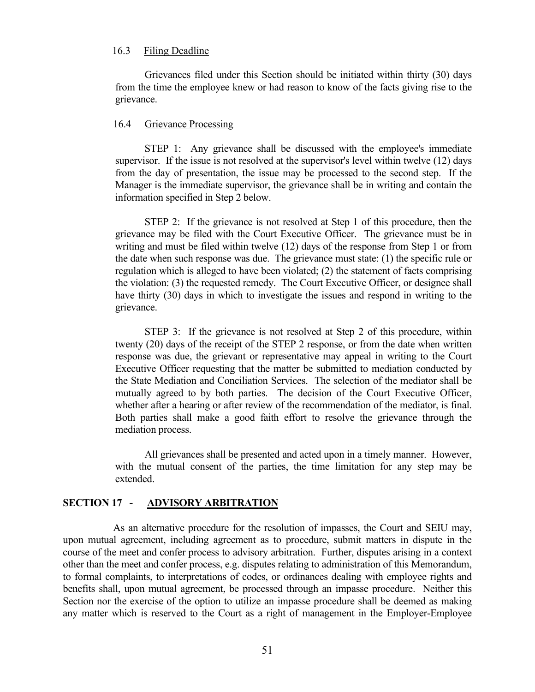#### <span id="page-56-0"></span>16.3 Filing Deadline

Grievances filed under this Section should be initiated within thirty (30) days from the time the employee knew or had reason to know of the facts giving rise to the grievance.

#### <span id="page-56-1"></span>16.4 Grievance Processing

STEP 1: Any grievance shall be discussed with the employee's immediate supervisor. If the issue is not resolved at the supervisor's level within twelve (12) days from the day of presentation, the issue may be processed to the second step. If the Manager is the immediate supervisor, the grievance shall be in writing and contain the information specified in Step 2 below.

STEP 2: If the grievance is not resolved at Step 1 of this procedure, then the grievance may be filed with the Court Executive Officer. The grievance must be in writing and must be filed within twelve (12) days of the response from Step 1 or from the date when such response was due. The grievance must state: (1) the specific rule or regulation which is alleged to have been violated; (2) the statement of facts comprising the violation: (3) the requested remedy. The Court Executive Officer, or designee shall have thirty (30) days in which to investigate the issues and respond in writing to the grievance.

STEP 3: If the grievance is not resolved at Step 2 of this procedure, within twenty (20) days of the receipt of the STEP 2 response, or from the date when written response was due, the grievant or representative may appeal in writing to the Court Executive Officer requesting that the matter be submitted to mediation conducted by the State Mediation and Conciliation Services. The selection of the mediator shall be mutually agreed to by both parties. The decision of the Court Executive Officer, whether after a hearing or after review of the recommendation of the mediator, is final. Both parties shall make a good faith effort to resolve the grievance through the mediation process.

All grievances shall be presented and acted upon in a timely manner. However, with the mutual consent of the parties, the time limitation for any step may be extended.

#### <span id="page-56-2"></span>**SECTION 17 - ADVISORY ARBITRATION**

As an alternative procedure for the resolution of impasses, the Court and SEIU may, upon mutual agreement, including agreement as to procedure, submit matters in dispute in the course of the meet and confer process to advisory arbitration. Further, disputes arising in a context other than the meet and confer process, e.g. disputes relating to administration of this Memorandum, to formal complaints, to interpretations of codes, or ordinances dealing with employee rights and benefits shall, upon mutual agreement, be processed through an impasse procedure. Neither this Section nor the exercise of the option to utilize an impasse procedure shall be deemed as making any matter which is reserved to the Court as a right of management in the Employer-Employee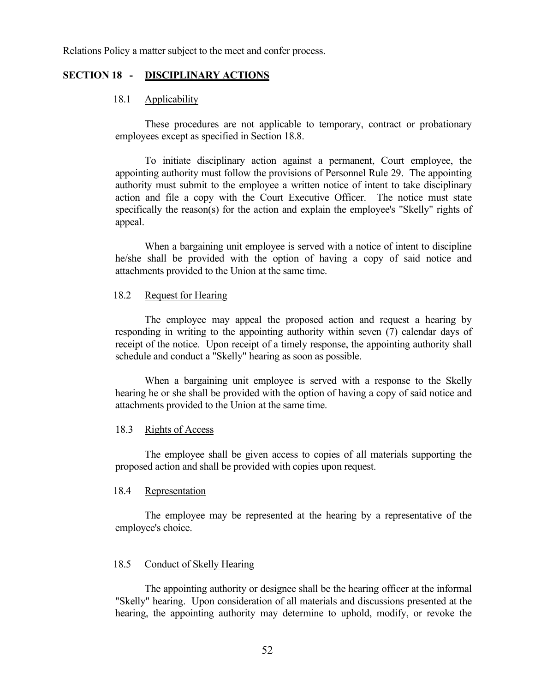Relations Policy a matter subject to the meet and confer process.

#### <span id="page-57-0"></span>**SECTION 18 - DISCIPLINARY ACTIONS**

#### <span id="page-57-1"></span>18.1 Applicability

These procedures are not applicable to temporary, contract or probationary employees except as specified in Section 18.8.

To initiate disciplinary action against a permanent, Court employee, the appointing authority must follow the provisions of Personnel Rule 29. The appointing authority must submit to the employee a written notice of intent to take disciplinary action and file a copy with the Court Executive Officer. The notice must state specifically the reason(s) for the action and explain the employee's "Skelly" rights of appeal.

When a bargaining unit employee is served with a notice of intent to discipline he/she shall be provided with the option of having a copy of said notice and attachments provided to the Union at the same time.

#### <span id="page-57-2"></span>18.2 Request for Hearing

The employee may appeal the proposed action and request a hearing by responding in writing to the appointing authority within seven (7) calendar days of receipt of the notice. Upon receipt of a timely response, the appointing authority shall schedule and conduct a "Skelly" hearing as soon as possible.

When a bargaining unit employee is served with a response to the Skelly hearing he or she shall be provided with the option of having a copy of said notice and attachments provided to the Union at the same time.

#### <span id="page-57-3"></span>18.3 Rights of Access

The employee shall be given access to copies of all materials supporting the proposed action and shall be provided with copies upon request.

#### <span id="page-57-4"></span>18.4 Representation

The employee may be represented at the hearing by a representative of the employee's choice.

# <span id="page-57-5"></span>18.5 Conduct of Skelly Hearing

The appointing authority or designee shall be the hearing officer at the informal "Skelly" hearing. Upon consideration of all materials and discussions presented at the hearing, the appointing authority may determine to uphold, modify, or revoke the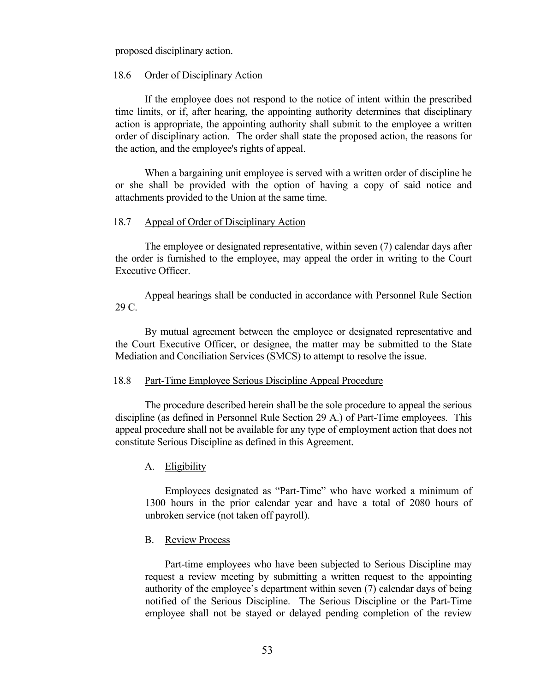proposed disciplinary action.

#### <span id="page-58-0"></span>18.6 Order of Disciplinary Action

If the employee does not respond to the notice of intent within the prescribed time limits, or if, after hearing, the appointing authority determines that disciplinary action is appropriate, the appointing authority shall submit to the employee a written order of disciplinary action. The order shall state the proposed action, the reasons for the action, and the employee's rights of appeal.

When a bargaining unit employee is served with a written order of discipline he or she shall be provided with the option of having a copy of said notice and attachments provided to the Union at the same time.

#### <span id="page-58-1"></span>18.7 Appeal of Order of Disciplinary Action

The employee or designated representative, within seven (7) calendar days after the order is furnished to the employee, may appeal the order in writing to the Court Executive Officer.

Appeal hearings shall be conducted in accordance with Personnel Rule Section 29 C.

By mutual agreement between the employee or designated representative and the Court Executive Officer, or designee, the matter may be submitted to the State Mediation and Conciliation Services (SMCS) to attempt to resolve the issue.

#### <span id="page-58-2"></span>18.8 Part-Time Employee Serious Discipline Appeal Procedure

The procedure described herein shall be the sole procedure to appeal the serious discipline (as defined in Personnel Rule Section 29 A.) of Part-Time employees. This appeal procedure shall not be available for any type of employment action that does not constitute Serious Discipline as defined in this Agreement.

#### <span id="page-58-3"></span>A. Eligibility

Employees designated as "Part-Time" who have worked a minimum of 1300 hours in the prior calendar year and have a total of 2080 hours of unbroken service (not taken off payroll).

#### <span id="page-58-4"></span>B. Review Process

Part-time employees who have been subjected to Serious Discipline may request a review meeting by submitting a written request to the appointing authority of the employee's department within seven (7) calendar days of being notified of the Serious Discipline. The Serious Discipline or the Part-Time employee shall not be stayed or delayed pending completion of the review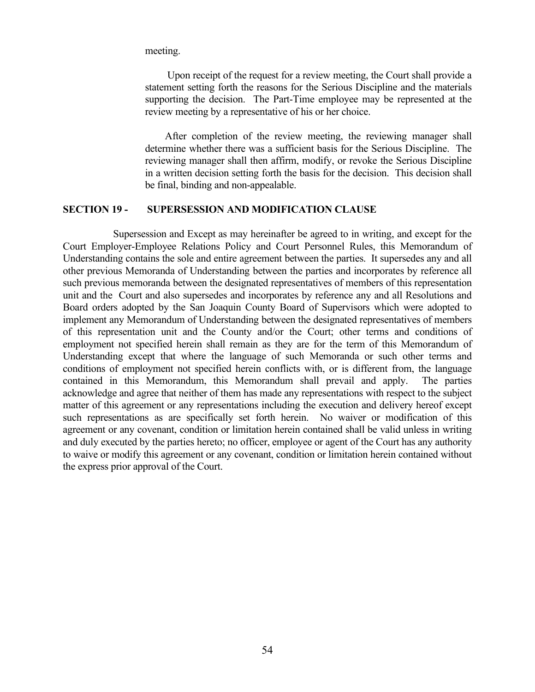meeting.

Upon receipt of the request for a review meeting, the Court shall provide a statement setting forth the reasons for the Serious Discipline and the materials supporting the decision. The Part-Time employee may be represented at the review meeting by a representative of his or her choice.

After completion of the review meeting, the reviewing manager shall determine whether there was a sufficient basis for the Serious Discipline. The reviewing manager shall then affirm, modify, or revoke the Serious Discipline in a written decision setting forth the basis for the decision. This decision shall be final, binding and non-appealable.

#### <span id="page-59-0"></span>**SECTION 19 - SUPERSESSION AND MODIFICATION CLAUSE**

Supersession and Except as may hereinafter be agreed to in writing, and except for the Court Employer-Employee Relations Policy and Court Personnel Rules, this Memorandum of Understanding contains the sole and entire agreement between the parties. It supersedes any and all other previous Memoranda of Understanding between the parties and incorporates by reference all such previous memoranda between the designated representatives of members of this representation unit and the Court and also supersedes and incorporates by reference any and all Resolutions and Board orders adopted by the San Joaquin County Board of Supervisors which were adopted to implement any Memorandum of Understanding between the designated representatives of members of this representation unit and the County and/or the Court; other terms and conditions of employment not specified herein shall remain as they are for the term of this Memorandum of Understanding except that where the language of such Memoranda or such other terms and conditions of employment not specified herein conflicts with, or is different from, the language contained in this Memorandum, this Memorandum shall prevail and apply. The parties acknowledge and agree that neither of them has made any representations with respect to the subject matter of this agreement or any representations including the execution and delivery hereof except such representations as are specifically set forth herein. No waiver or modification of this agreement or any covenant, condition or limitation herein contained shall be valid unless in writing and duly executed by the parties hereto; no officer, employee or agent of the Court has any authority to waive or modify this agreement or any covenant, condition or limitation herein contained without the express prior approval of the Court.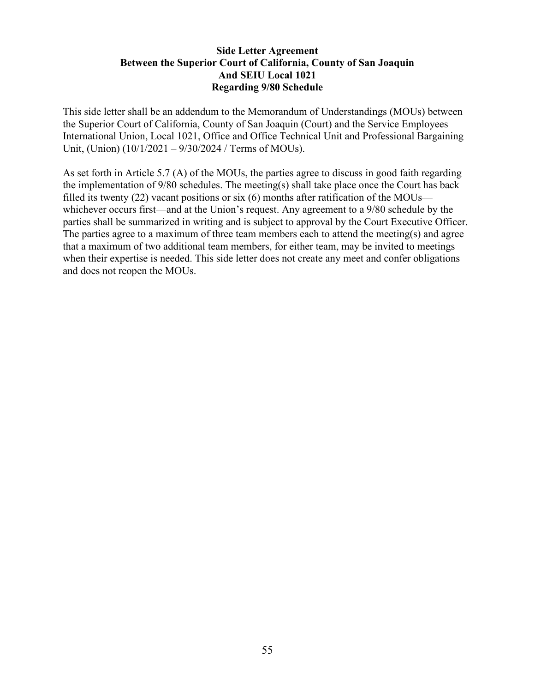# **Side Letter Agreement Between the Superior Court of California, County of San Joaquin And SEIU Local 1021 Regarding 9/80 Schedule**

This side letter shall be an addendum to the Memorandum of Understandings (MOUs) between the Superior Court of California, County of San Joaquin (Court) and the Service Employees International Union, Local 1021, Office and Office Technical Unit and Professional Bargaining Unit, (Union) (10/1/2021 – 9/30/2024 / Terms of MOUs).

As set forth in Article 5.7 (A) of the MOUs, the parties agree to discuss in good faith regarding the implementation of 9/80 schedules. The meeting(s) shall take place once the Court has back filled its twenty (22) vacant positions or six (6) months after ratification of the MOUs whichever occurs first—and at the Union's request. Any agreement to a 9/80 schedule by the parties shall be summarized in writing and is subject to approval by the Court Executive Officer. The parties agree to a maximum of three team members each to attend the meeting(s) and agree that a maximum of two additional team members, for either team, may be invited to meetings when their expertise is needed. This side letter does not create any meet and confer obligations and does not reopen the MOUs.